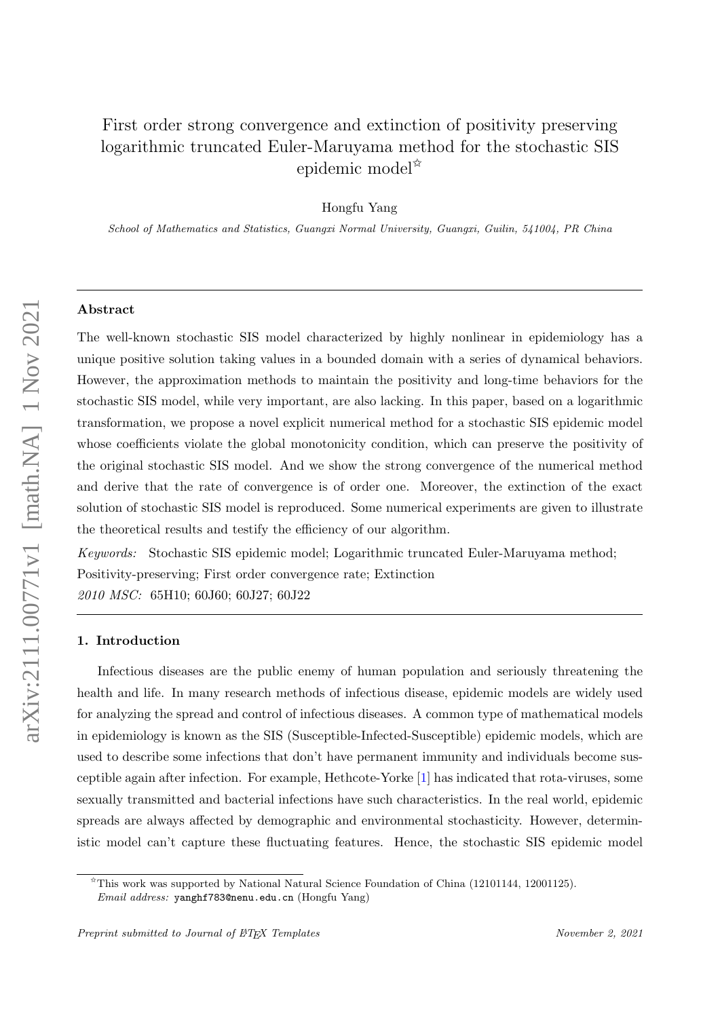# First order strong convergence and extinction of positivity preserving logarithmic truncated Euler-Maruyama method for the stochastic SIS epidemic model✩

Hongfu Yang

School of Mathematics and Statistics, Guangxi Normal University, Guangxi, Guilin, 541004, PR China

## Abstract

The well-known stochastic SIS model characterized by highly nonlinear in epidemiology has a unique positive solution taking values in a bounded domain with a series of dynamical behaviors. However, the approximation methods to maintain the positivity and long-time behaviors for the stochastic SIS model, while very important, are also lacking. In this paper, based on a logarithmic transformation, we propose a novel explicit numerical method for a stochastic SIS epidemic model whose coefficients violate the global monotonicity condition, which can preserve the positivity of the original stochastic SIS model. And we show the strong convergence of the numerical method and derive that the rate of convergence is of order one. Moreover, the extinction of the exact solution of stochastic SIS model is reproduced. Some numerical experiments are given to illustrate the theoretical results and testify the efficiency of our algorithm.

Keywords: Stochastic SIS epidemic model; Logarithmic truncated Euler-Maruyama method; Positivity-preserving; First order convergence rate; Extinction 2010 MSC: 65H10; 60J60; 60J27; 60J22

## 1. Introduction

Infectious diseases are the public enemy of human population and seriously threatening the health and life. In many research methods of infectious disease, epidemic models are widely used for analyzing the spread and control of infectious diseases. A common type of mathematical models in epidemiology is known as the SIS (Susceptible-Infected-Susceptible) epidemic models, which are used to describe some infections that don't have permanent immunity and individuals become susceptible again after infection. For example, Hethcote-Yorke [\[1\]](#page-17-0) has indicated that rota-viruses, some sexually transmitted and bacterial infections have such characteristics. In the real world, epidemic spreads are always affected by demographic and environmental stochasticity. However, deterministic model can't capture these fluctuating features. Hence, the stochastic SIS epidemic model

<sup>✩</sup>This work was supported by National Natural Science Foundation of China (12101144, 12001125). Email address: yanghf783@nenu.edu.cn (Hongfu Yang)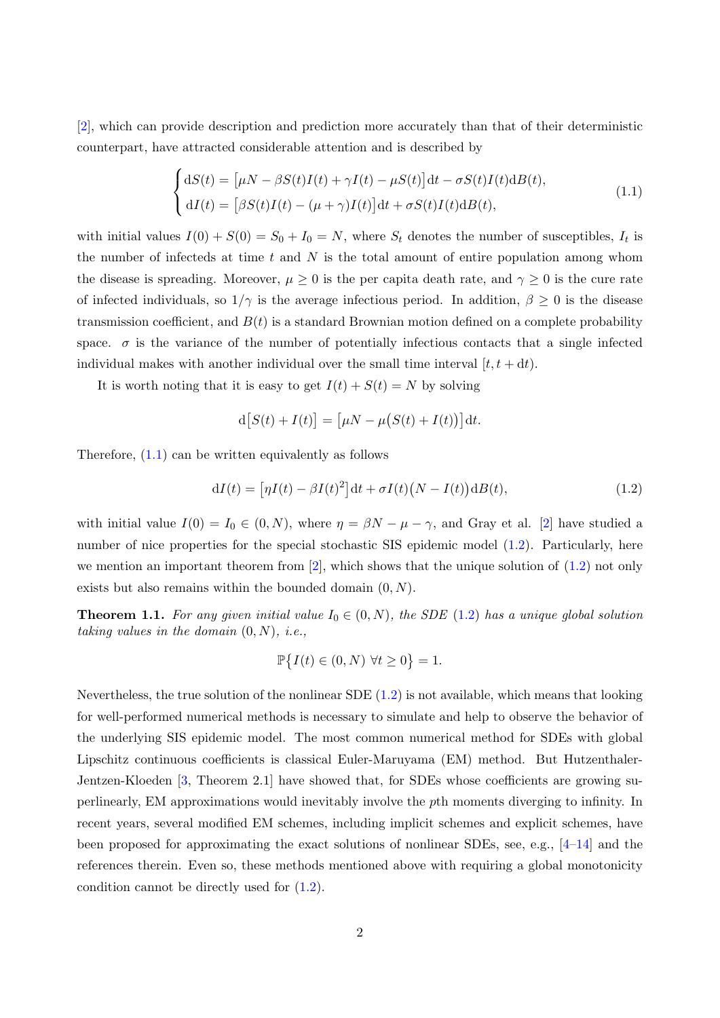[\[2\]](#page-18-0), which can provide description and prediction more accurately than that of their deterministic counterpart, have attracted considerable attention and is described by

<span id="page-1-0"></span>
$$
\begin{cases} dS(t) = \left[ \mu N - \beta S(t)I(t) + \gamma I(t) - \mu S(t) \right] dt - \sigma S(t)I(t)dB(t), \\ dI(t) = \left[ \beta S(t)I(t) - (\mu + \gamma)I(t) \right] dt + \sigma S(t)I(t)dB(t), \end{cases}
$$
\n(1.1)

with initial values  $I(0) + S(0) = S_0 + I_0 = N$ , where  $S_t$  denotes the number of susceptibles,  $I_t$  is the number of infecteds at time  $t$  and  $N$  is the total amount of entire population among whom the disease is spreading. Moreover,  $\mu \geq 0$  is the per capita death rate, and  $\gamma \geq 0$  is the cure rate of infected individuals, so  $1/\gamma$  is the average infectious period. In addition,  $\beta \geq 0$  is the disease transmission coefficient, and  $B(t)$  is a standard Brownian motion defined on a complete probability space.  $\sigma$  is the variance of the number of potentially infectious contacts that a single infected individual makes with another individual over the small time interval  $[t, t + dt)$ .

It is worth noting that it is easy to get  $I(t) + S(t) = N$  by solving

<span id="page-1-1"></span>
$$
d[S(t) + I(t)] = [\mu N - \mu(S(t) + I(t))]dt.
$$

Therefore,  $(1.1)$  can be written equivalently as follows

$$
dI(t) = \left[\eta I(t) - \beta I(t)^2\right]dt + \sigma I(t)\left(N - I(t)\right)dB(t),\tag{1.2}
$$

with initial value  $I(0) = I_0 \in (0, N)$ , where  $\eta = \beta N - \mu - \gamma$ , and Gray et al. [\[2\]](#page-18-0) have studied a number of nice properties for the special stochastic SIS epidemic model  $(1.2)$ . Particularly, here we mention an important theorem from  $[2]$ , which shows that the unique solution of  $(1.2)$  not only exists but also remains within the bounded domain  $(0, N)$ .

**Theorem 1.1.** For any given initial value  $I_0 \in (0, N)$ , the SDE [\(1.2\)](#page-1-1) has a unique global solution taking values in the domain  $(0, N)$ , i.e.,

$$
\mathbb{P}\{I(t)\in(0,N)\,\,\forall t\geq 0\}=1.
$$

Nevertheless, the true solution of the nonlinear SDE  $(1.2)$  is not available, which means that looking for well-performed numerical methods is necessary to simulate and help to observe the behavior of the underlying SIS epidemic model. The most common numerical method for SDEs with global Lipschitz continuous coefficients is classical Euler-Maruyama (EM) method. But Hutzenthaler-Jentzen-Kloeden [\[3,](#page-18-1) Theorem 2.1] have showed that, for SDEs whose coefficients are growing superlinearly, EM approximations would inevitably involve the pth moments diverging to infinity. In recent years, several modified EM schemes, including implicit schemes and explicit schemes, have been proposed for approximating the exact solutions of nonlinear SDEs, see, e.g.,  $[4-14]$  $[4-14]$  and the references therein. Even so, these methods mentioned above with requiring a global monotonicity condition cannot be directly used for [\(1.2\)](#page-1-1).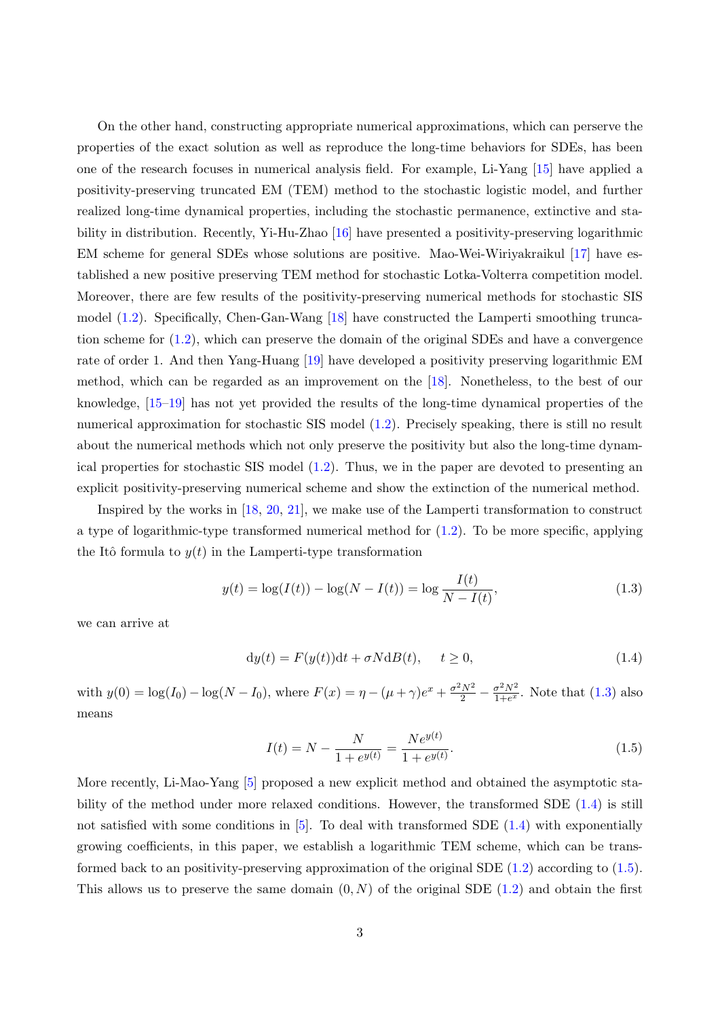On the other hand, constructing appropriate numerical approximations, which can perserve the properties of the exact solution as well as reproduce the long-time behaviors for SDEs, has been one of the research focuses in numerical analysis field. For example, Li-Yang [\[15\]](#page-19-1) have applied a positivity-preserving truncated EM (TEM) method to the stochastic logistic model, and further realized long-time dynamical properties, including the stochastic permanence, extinctive and stability in distribution. Recently, Yi-Hu-Zhao [\[16\]](#page-19-2) have presented a positivity-preserving logarithmic EM scheme for general SDEs whose solutions are positive. Mao-Wei-Wiriyakraikul [\[17\]](#page-19-3) have established a new positive preserving TEM method for stochastic Lotka-Volterra competition model. Moreover, there are few results of the positivity-preserving numerical methods for stochastic SIS model [\(1.2\)](#page-1-1). Specifically, Chen-Gan-Wang [\[18\]](#page-19-4) have constructed the Lamperti smoothing truncation scheme for  $(1.2)$ , which can preserve the domain of the original SDEs and have a convergence rate of order 1. And then Yang-Huang [\[19\]](#page-19-5) have developed a positivity preserving logarithmic EM method, which can be regarded as an improvement on the [\[18\]](#page-19-4). Nonetheless, to the best of our knowledge, [\[15–](#page-19-1)[19\]](#page-19-5) has not yet provided the results of the long-time dynamical properties of the numerical approximation for stochastic SIS model [\(1.2\)](#page-1-1). Precisely speaking, there is still no result about the numerical methods which not only preserve the positivity but also the long-time dynamical properties for stochastic SIS model [\(1.2\)](#page-1-1). Thus, we in the paper are devoted to presenting an explicit positivity-preserving numerical scheme and show the extinction of the numerical method.

Inspired by the works in [\[18,](#page-19-4) [20,](#page-19-6) [21\]](#page-19-7), we make use of the Lamperti transformation to construct a type of logarithmic-type transformed numerical method for  $(1.2)$ . To be more specific, applying the Itô formula to  $y(t)$  in the Lamperti-type transformation

$$
y(t) = \log(I(t)) - \log(N - I(t)) = \log \frac{I(t)}{N - I(t)},
$$
\n(1.3)

we can arrive at

<span id="page-2-0"></span>
$$
dy(t) = F(y(t))dt + \sigma NdB(t), \quad t \ge 0,
$$
\n(1.4)

with  $y(0) = \log(I_0) - \log(N - I_0)$ , where  $F(x) = \eta - (\mu + \gamma)e^x + \frac{\sigma^2 N^2}{2} - \frac{\sigma^2 N^2}{1 + e^x}$  $\frac{\sigma^2 N^2}{1+e^x}$ . Note that  $(1.3)$  also means

<span id="page-2-2"></span><span id="page-2-1"></span>
$$
I(t) = N - \frac{N}{1 + e^{y(t)}} = \frac{Ne^{y(t)}}{1 + e^{y(t)}}.
$$
\n(1.5)

More recently, Li-Mao-Yang [\[5\]](#page-18-3) proposed a new explicit method and obtained the asymptotic stability of the method under more relaxed conditions. However, the transformed SDE [\(1.4\)](#page-2-1) is still not satisfied with some conditions in [\[5\]](#page-18-3). To deal with transformed SDE [\(1.4\)](#page-2-1) with exponentially growing coefficients, in this paper, we establish a logarithmic TEM scheme, which can be transformed back to an positivity-preserving approximation of the original SDE  $(1.2)$  according to  $(1.5)$ . This allows us to preserve the same domain  $(0, N)$  of the original SDE  $(1.2)$  and obtain the first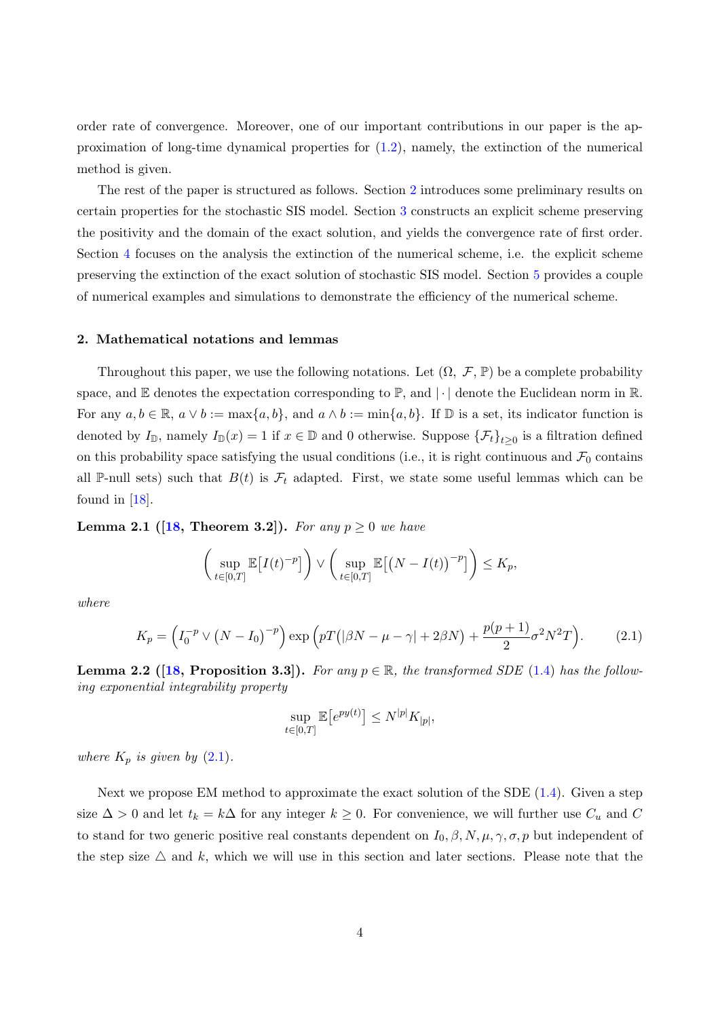order rate of convergence. Moreover, one of our important contributions in our paper is the approximation of long-time dynamical properties for [\(1.2\)](#page-1-1), namely, the extinction of the numerical method is given.

The rest of the paper is structured as follows. Section [2](#page-3-0) introduces some preliminary results on certain properties for the stochastic SIS model. Section [3](#page-4-0) constructs an explicit scheme preserving the positivity and the domain of the exact solution, and yields the convergence rate of first order. Section [4](#page-10-0) focuses on the analysis the extinction of the numerical scheme, i.e. the explicit scheme preserving the extinction of the exact solution of stochastic SIS model. Section [5](#page-15-0) provides a couple of numerical examples and simulations to demonstrate the efficiency of the numerical scheme.

#### <span id="page-3-0"></span>2. Mathematical notations and lemmas

Throughout this paper, we use the following notations. Let  $(\Omega, \mathcal{F}, \mathbb{P})$  be a complete probability space, and  $\mathbb E$  denotes the expectation corresponding to  $\mathbb P$ , and  $|\cdot|$  denote the Euclidean norm in  $\mathbb R$ . For any  $a, b \in \mathbb{R}$ ,  $a \vee b := \max\{a, b\}$ , and  $a \wedge b := \min\{a, b\}$ . If  $\mathbb{D}$  is a set, its indicator function is denoted by  $I_{\mathbb{D}}$ , namely  $I_{\mathbb{D}}(x) = 1$  if  $x \in \mathbb{D}$  and 0 otherwise. Suppose  $\{\mathcal{F}_t\}_{t\geq 0}$  is a filtration defined on this probability space satisfying the usual conditions (i.e., it is right continuous and  $\mathcal{F}_0$  contains all P-null sets) such that  $B(t)$  is  $\mathcal{F}_t$  adapted. First, we state some useful lemmas which can be found in [\[18\]](#page-19-4).

**Lemma 2.1** ([\[18,](#page-19-4) Theorem 3.2]). For any  $p \ge 0$  we have

$$
\left(\sup_{t\in[0,T]}\mathbb{E}\big[I(t)^{-p}\big]\right)\vee\left(\sup_{t\in[0,T]}\mathbb{E}\big[\big(N-I(t)\big)^{-p}\big]\right)\leq K_p,
$$

where

$$
K_p = \left(I_0^{-p} \vee \left(N - I_0\right)^{-p}\right) \exp\left(pT\left(|\beta N - \mu - \gamma| + 2\beta N\right) + \frac{p(p+1)}{2}\sigma^2 N^2 T\right). \tag{2.1}
$$

<span id="page-3-2"></span>**Lemma 2.2** ([\[18,](#page-19-4) Proposition 3.3]). For any  $p \in \mathbb{R}$ , the transformed SDE [\(1.4\)](#page-2-1) has the following exponential integrability property

<span id="page-3-1"></span>
$$
\sup_{t \in [0,T]} \mathbb{E}\big[e^{py(t)}\big] \le N^{|p|} K_{|p|},
$$

where  $K_p$  is given by  $(2.1)$ .

Next we propose EM method to approximate the exact solution of the SDE [\(1.4\)](#page-2-1). Given a step size  $\Delta > 0$  and let  $t_k = k\Delta$  for any integer  $k \geq 0$ . For convenience, we will further use  $C_u$  and C to stand for two generic positive real constants dependent on  $I_0$ ,  $\beta$ ,  $N$ ,  $\mu$ ,  $\gamma$ ,  $\sigma$ ,  $p$  but independent of the step size  $\Delta$  and k, which we will use in this section and later sections. Please note that the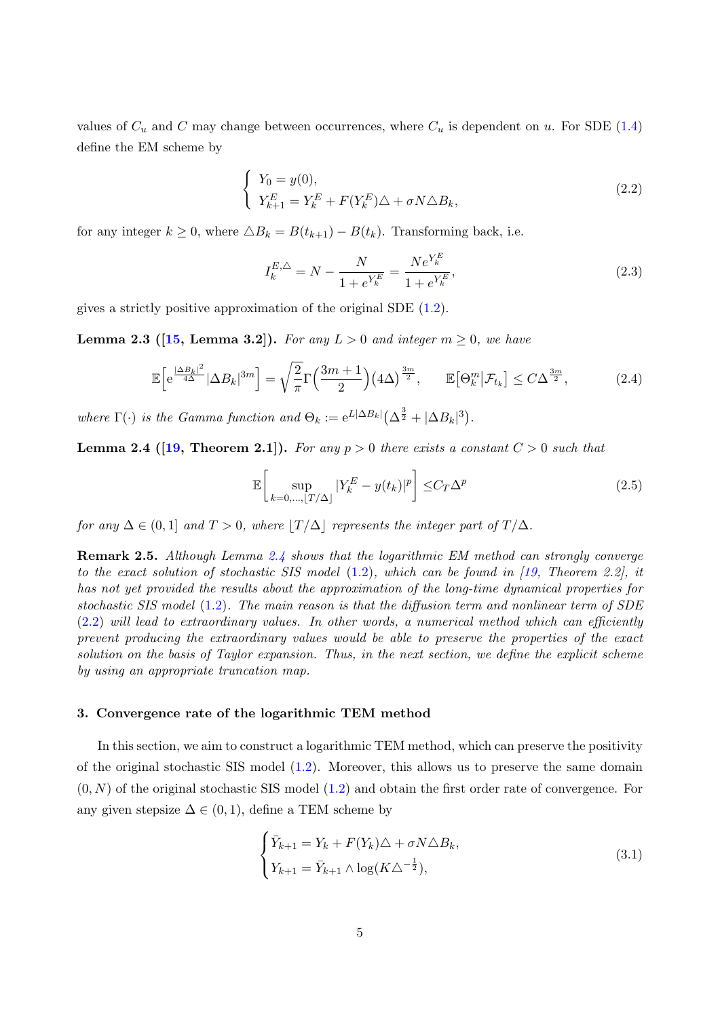values of  $C_u$  and C may change between occurrences, where  $C_u$  is dependent on u. For SDE [\(1.4\)](#page-2-1) define the EM scheme by

$$
\begin{cases}\nY_0 = y(0), \\
Y_{k+1}^E = Y_k^E + F(Y_k^E)\triangle + \sigma N \triangle B_k,\n\end{cases}
$$
\n(2.2)

for any integer  $k \geq 0$ , where  $\triangle B_k = B(t_{k+1}) - B(t_k)$ . Transforming back, i.e.

<span id="page-4-6"></span><span id="page-4-2"></span>
$$
I_k^{E,\triangle} = N - \frac{N}{1 + e^{Y_k^E}} = \frac{Ne^{Y_k^E}}{1 + e^{Y_k^E}},
$$
\n(2.3)

<span id="page-4-4"></span>gives a strictly positive approximation of the original SDE [\(1.2\)](#page-1-1).

**Lemma 2.3** ([\[15,](#page-19-1) Lemma 3.2]). For any  $L > 0$  and integer  $m \geq 0$ , we have

$$
\mathbb{E}\Big[e^{\frac{|\Delta B_k|^2}{4\Delta}}|\Delta B_k|^{3m}\Big] = \sqrt{\frac{2}{\pi}}\Gamma\Big(\frac{3m+1}{2}\Big)(4\Delta)^{\frac{3m}{2}}, \qquad \mathbb{E}\big[\Theta_k^m\big|\mathcal{F}_{t_k}\big] \le C\Delta^{\frac{3m}{2}},\tag{2.4}
$$

where  $\Gamma(\cdot)$  is the Gamma function and  $\Theta_k := e^{L|\Delta B_k|} (\Delta^{\frac{3}{2}} + |\Delta B_k|^3)$ .

<span id="page-4-1"></span>**Lemma 2.4 ([\[19,](#page-19-5) Theorem 2.1]).** For any  $p > 0$  there exists a constant  $C > 0$  such that

<span id="page-4-5"></span>
$$
\mathbb{E}\left[\sup_{k=0,\ldots,\lfloor T/\Delta\rfloor} |Y_k^E - y(t_k)|^p\right] \leq C_T \Delta^p\tag{2.5}
$$

for any  $\Delta \in (0,1]$  and  $T > 0$ , where  $|T/\Delta|$  represents the integer part of  $T/\Delta$ .

Remark 2.5. Although Lemma [2.4](#page-4-1) shows that the logarithmic EM method can strongly converge to the exact solution of stochastic SIS model  $(1.2)$ , which can be found in [\[19,](#page-19-5) Theorem 2.2], it has not yet provided the results about the approximation of the long-time dynamical properties for stochastic SIS model [\(1.2\)](#page-1-1). The main reason is that the diffusion term and nonlinear term of SDE  $(2.2)$  will lead to extraordinary values. In other words, a numerical method which can efficiently prevent producing the extraordinary values would be able to preserve the properties of the exact solution on the basis of Taylor expansion. Thus, in the next section, we define the explicit scheme by using an appropriate truncation map.

### <span id="page-4-0"></span>3. Convergence rate of the logarithmic TEM method

In this section, we aim to construct a logarithmic TEM method, which can preserve the positivity of the original stochastic SIS model [\(1.2\)](#page-1-1). Moreover, this allows us to preserve the same domain  $(0, N)$  of the original stochastic SIS model  $(1.2)$  and obtain the first order rate of convergence. For any given stepsize  $\Delta \in (0, 1)$ , define a TEM scheme by

<span id="page-4-3"></span>
$$
\begin{cases} \bar{Y}_{k+1} = Y_k + F(Y_k)\triangle + \sigma N \triangle B_k, \\ Y_{k+1} = \bar{Y}_{k+1} \wedge \log(K \triangle^{-\frac{1}{2}}), \end{cases}
$$
\n(3.1)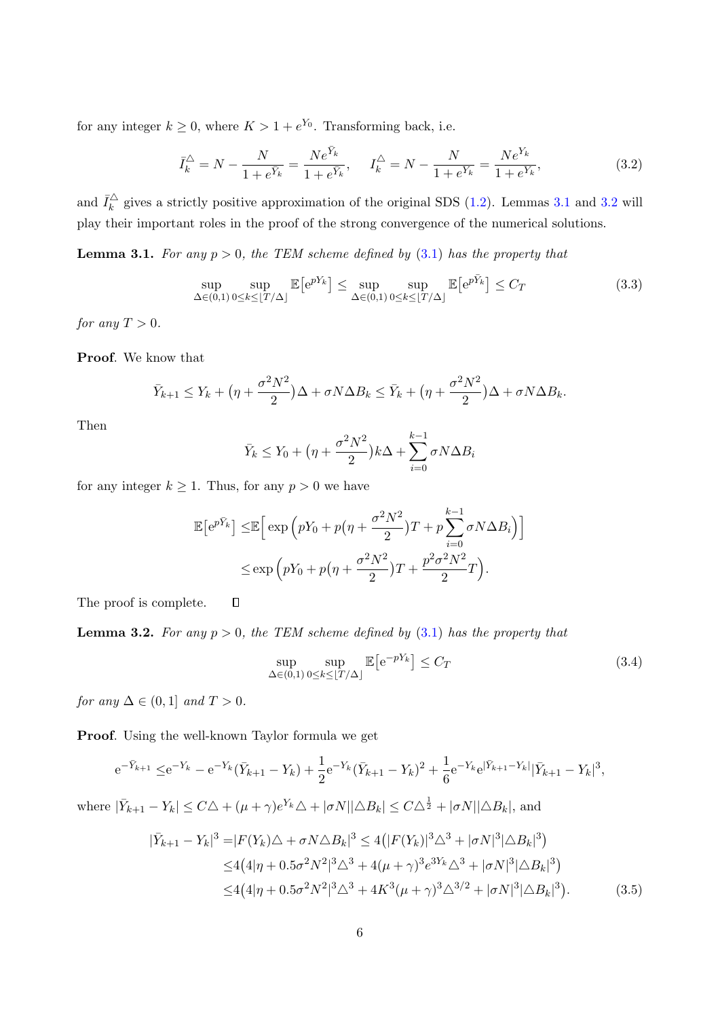for any integer  $k \geq 0$ , where  $K > 1 + e^{Y_0}$ . Transforming back, i.e.

<span id="page-5-2"></span>
$$
\bar{I}_k^{\triangle} = N - \frac{N}{1 + e^{\bar{Y}_k}} = \frac{Ne^{\bar{Y}_k}}{1 + e^{\bar{Y}_k}}, \quad I_k^{\triangle} = N - \frac{N}{1 + e^{\bar{Y}_k}} = \frac{Ne^{\bar{Y}_k}}{1 + e^{\bar{Y}_k}},
$$
(3.2)

and  $\bar{I}_k^{\triangle}$  $\frac{1}{k}$  gives a strictly positive approximation of the original SDS [\(1.2\)](#page-1-1). Lemmas [3.1](#page-5-0) and [3.2](#page-5-1) will play their important roles in the proof of the strong convergence of the numerical solutions.

<span id="page-5-0"></span>**Lemma 3.1.** For any  $p > 0$ , the TEM scheme defined by  $(3.1)$  has the property that

$$
\sup_{\Delta \in (0,1)} \sup_{0 \le k \le \lfloor T/\Delta \rfloor} \mathbb{E} \left[ e^{pY_k} \right] \le \sup_{\Delta \in (0,1)} \sup_{0 \le k \le \lfloor T/\Delta \rfloor} \mathbb{E} \left[ e^{p\bar{Y}_k} \right] \le C_T \tag{3.3}
$$

for any  $T > 0$ .

Proof. We know that

$$
\bar{Y}_{k+1} \leq Y_k + \left(\eta + \frac{\sigma^2 N^2}{2}\right)\Delta + \sigma N \Delta B_k \leq \bar{Y}_k + \left(\eta + \frac{\sigma^2 N^2}{2}\right)\Delta + \sigma N \Delta B_k.
$$

Then

$$
\bar{Y}_k \le Y_0 + \left(\eta + \frac{\sigma^2 N^2}{2}\right) k\Delta + \sum_{i=0}^{k-1} \sigma N \Delta B_i
$$

for any integer  $k \geq 1$ . Thus, for any  $p > 0$  we have

$$
\mathbb{E}\left[e^{p\bar{Y}_k}\right] \leq \mathbb{E}\left[\exp\left(pY_0 + p\left(\eta + \frac{\sigma^2 N^2}{2}\right)T + p\sum_{i=0}^{k-1} \sigma N \Delta B_i\right)\right]
$$

$$
\leq \exp\left(pY_0 + p\left(\eta + \frac{\sigma^2 N^2}{2}\right)T + \frac{p^2 \sigma^2 N^2}{2}T\right).
$$

<span id="page-5-1"></span>The proof is complete.

**Lemma 3.2.** For any  $p > 0$ , the TEM scheme defined by  $(3.1)$  has the property that

<span id="page-5-3"></span>
$$
\sup_{\Delta \in (0,1)} \sup_{0 \le k \le \lfloor T/\Delta \rfloor} \mathbb{E} \left[ e^{-pY_k} \right] \le C_T \tag{3.4}
$$

for any  $\Delta \in (0,1]$  and  $T > 0$ .

Proof. Using the well-known Taylor formula we get

 $\Box$ 

$$
e^{-\bar{Y}_{k+1}} \leq e^{-Y_k} - e^{-Y_k}(\bar{Y}_{k+1} - Y_k) + \frac{1}{2}e^{-Y_k}(\bar{Y}_{k+1} - Y_k)^2 + \frac{1}{6}e^{-Y_k}e^{|\bar{Y}_{k+1} - Y_k|}|\bar{Y}_{k+1} - Y_k|^3,
$$

where  $|\bar{Y}_{k+1} - Y_k| \leq C\Delta + (\mu + \gamma)e^{Y_k}\Delta + |\sigma N||\Delta B_k| \leq C\Delta^{\frac{1}{2}} + |\sigma N||\Delta B_k|$ , and

$$
|\bar{Y}_{k+1} - Y_k|^3 = |F(Y_k)\triangle + \sigma N \triangle B_k|^3 \le 4(|F(Y_k)|^3 \triangle^3 + |\sigma N|^3 |\triangle B_k|^3)
$$
  
\n
$$
\le 4(4|\eta + 0.5\sigma^2 N^2|^3 \triangle^3 + 4(\mu + \gamma)^3 e^{3Y_k} \triangle^3 + |\sigma N|^3 |\triangle B_k|^3)
$$
  
\n
$$
\le 4(4|\eta + 0.5\sigma^2 N^2|^3 \triangle^3 + 4K^3(\mu + \gamma)^3 \triangle^{3/2} + |\sigma N|^3 |\triangle B_k|^3).
$$
 (3.5)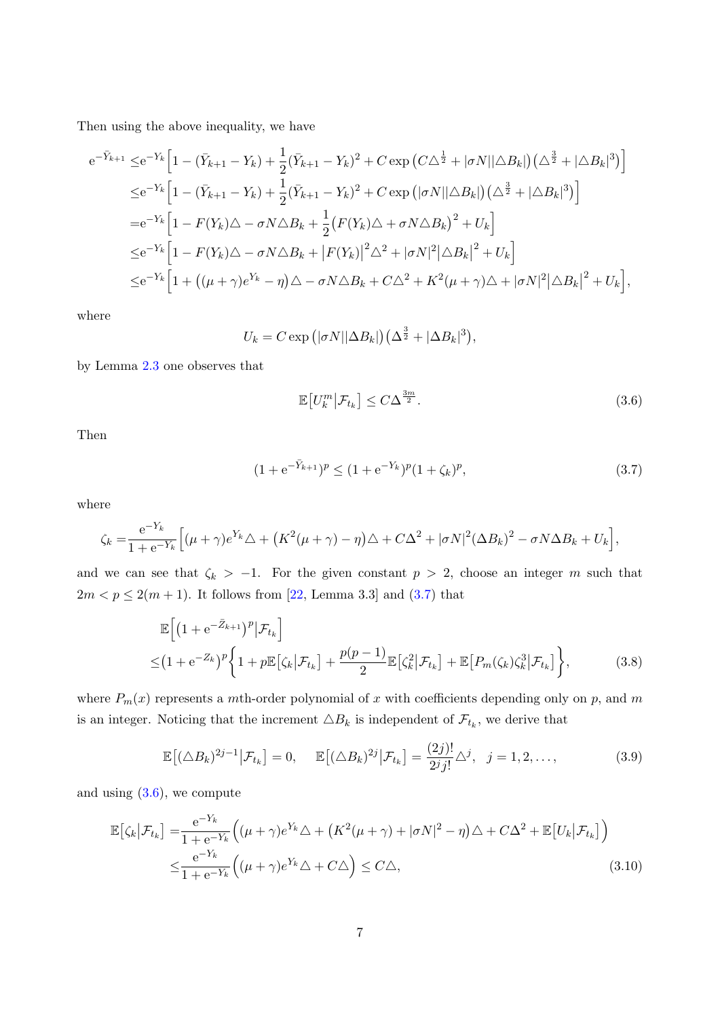Then using the above inequality, we have

$$
e^{-\bar{Y}_{k+1}} \leq e^{-Y_k} \Big[ 1 - (\bar{Y}_{k+1} - Y_k) + \frac{1}{2} (\bar{Y}_{k+1} - Y_k)^2 + C \exp \big( C \Delta^{\frac{1}{2}} + |\sigma N| |\Delta B_k| \big) \big( \Delta^{\frac{3}{2}} + |\Delta B_k|^3 \big) \Big]
$$
  
\n
$$
\leq e^{-Y_k} \Big[ 1 - (\bar{Y}_{k+1} - Y_k) + \frac{1}{2} (\bar{Y}_{k+1} - Y_k)^2 + C \exp \big( |\sigma N| |\Delta B_k| \big) \big( \Delta^{\frac{3}{2}} + |\Delta B_k|^3 \big) \Big]
$$
  
\n
$$
= e^{-Y_k} \Big[ 1 - F(Y_k) \Delta - \sigma N \Delta B_k + \frac{1}{2} \big( F(Y_k) \Delta + \sigma N \Delta B_k \big)^2 + U_k \Big]
$$
  
\n
$$
\leq e^{-Y_k} \Big[ 1 - F(Y_k) \Delta - \sigma N \Delta B_k + |F(Y_k)|^2 \Delta^2 + |\sigma N|^2 |\Delta B_k|^2 + U_k \Big]
$$
  
\n
$$
\leq e^{-Y_k} \Big[ 1 + \big( (\mu + \gamma) e^{Y_k} - \eta \big) \Delta - \sigma N \Delta B_k + C \Delta^2 + K^2 (\mu + \gamma) \Delta + |\sigma N|^2 |\Delta B_k|^2 + U_k \Big],
$$

where

$$
U_k = C \exp (|\sigma N| |\Delta B_k|) (\Delta^{\frac{3}{2}} + |\Delta B_k|^3),
$$

by Lemma [2.3](#page-4-4) one observes that

<span id="page-6-3"></span><span id="page-6-1"></span><span id="page-6-0"></span>
$$
\mathbb{E}\left[U_k^m\middle|\mathcal{F}_{t_k}\right] \le C\Delta^{\frac{3m}{2}}.\tag{3.6}
$$

Then

<span id="page-6-2"></span>
$$
(1 + e^{-\bar{Y}_{k+1}})^p \le (1 + e^{-Y_k})^p (1 + \zeta_k)^p, \tag{3.7}
$$

where

$$
\zeta_k = \frac{e^{-Y_k}}{1 + e^{-Y_k}} \Big[ (\mu + \gamma) e^{Y_k} \triangle + (K^2(\mu + \gamma) - \eta) \triangle + C\Delta^2 + |\sigma N|^2 (\Delta B_k)^2 - \sigma N \Delta B_k + U_k \Big],
$$

and we can see that  $\zeta_k$  > -1. For the given constant  $p > 2$ , choose an integer m such that  $2m < p \leq 2(m+1)$ . It follows from [\[22,](#page-19-8) Lemma 3.3] and [\(3.7\)](#page-6-0) that

$$
\mathbb{E}\left[\left(1+\mathrm{e}^{-\bar{Z}_{k+1}}\right)^p|\mathcal{F}_{t_k}\right] \leq \left(1+\mathrm{e}^{-Z_k}\right)^p\left\{1+p\mathbb{E}\left[\zeta_k|\mathcal{F}_{t_k}\right]+\frac{p(p-1)}{2}\mathbb{E}\left[\zeta_k^2|\mathcal{F}_{t_k}\right]+\mathbb{E}\left[P_m(\zeta_k)\zeta_k^3|\mathcal{F}_{t_k}\right]\right\},
$$
\n(3.8)

where  $P_m(x)$  represents a mth-order polynomial of x with coefficients depending only on p, and m is an integer. Noticing that the increment  $\triangle B_k$  is independent of  $\mathcal{F}_{t_k}$ , we derive that

<span id="page-6-4"></span>
$$
\mathbb{E}\big[(\triangle B_k)^{2j-1}\big|\mathcal{F}_{t_k}\big] = 0, \quad \mathbb{E}\big[(\triangle B_k)^{2j}\big|\mathcal{F}_{t_k}\big] = \frac{(2j)!}{2^j j!} \triangle^j, \quad j = 1, 2, \dots,
$$
\n(3.9)

and using [\(3.6\)](#page-6-1), we compute

$$
\mathbb{E}\left[\zeta_k\big|\mathcal{F}_{t_k}\right] = \frac{e^{-Y_k}}{1 + e^{-Y_k}} \Big( (\mu + \gamma)e^{Y_k}\triangle + \left(K^2(\mu + \gamma) + |\sigma N|^2 - \eta\right)\triangle + C\Delta^2 + \mathbb{E}\left[U_k\big|\mathcal{F}_{t_k}\right] \Big) \n\leq \frac{e^{-Y_k}}{1 + e^{-Y_k}} \Big( (\mu + \gamma)e^{Y_k}\triangle + C\triangle \Big) \leq C\triangle,
$$
\n(3.10)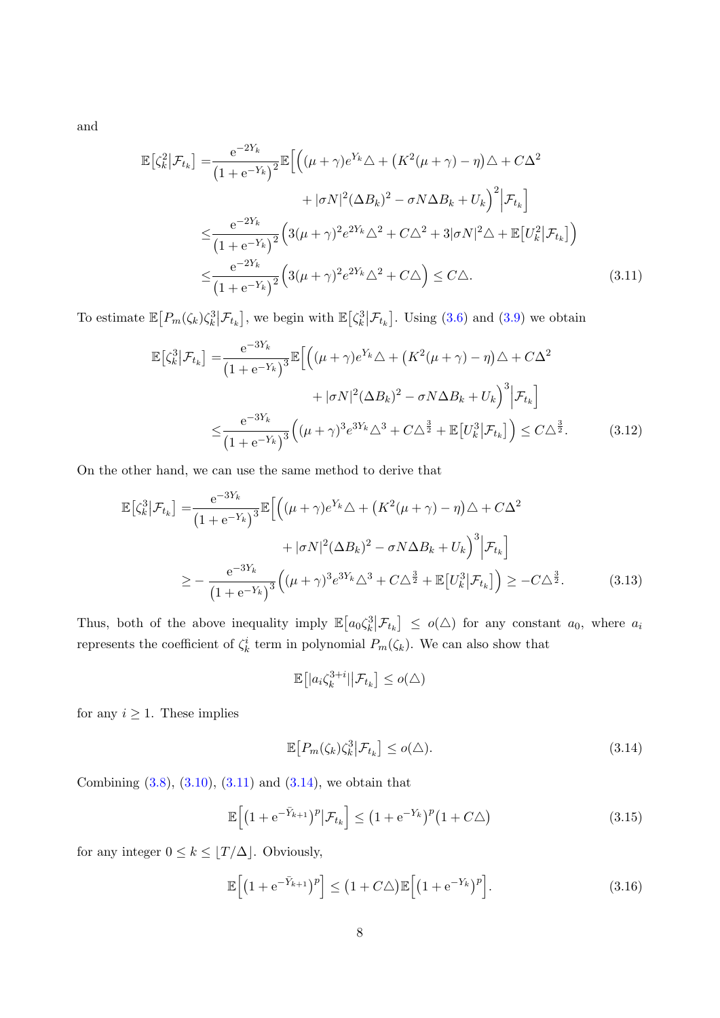and

$$
\mathbb{E}\left[\zeta_k^2\middle|\mathcal{F}_{t_k}\right] = \frac{e^{-2Y_k}}{\left(1 + e^{-Y_k}\right)^2} \mathbb{E}\left[\left((\mu + \gamma)e^{Y_k}\triangle + \left(K^2(\mu + \gamma) - \eta\right)\triangle + C\Delta^2 + |\sigma N|^2(\Delta B_k)^2 - \sigma N\Delta B_k + U_k\right)^2\middle|\mathcal{F}_{t_k}\right]
$$
\n
$$
\leq \frac{e^{-2Y_k}}{\left(1 + e^{-Y_k}\right)^2} \left(3(\mu + \gamma)^2 e^{2Y_k}\triangle^2 + C\Delta^2 + 3|\sigma N|^2\triangle + \mathbb{E}\left[U_k^2\middle|\mathcal{F}_{t_k}\right]\right)
$$
\n
$$
\leq \frac{e^{-2Y_k}}{\left(1 + e^{-Y_k}\right)^2} \left(3(\mu + \gamma)^2 e^{2Y_k}\triangle^2 + C\triangle\right) \leq C\triangle. \tag{3.11}
$$

To estimate  $\mathbb{E}\big[P_m(\zeta_k)\zeta_k^3\big|\mathcal{F}_{t_k}\big]$ , we begin with  $\mathbb{E}\big[\zeta_k^3\big|\mathcal{F}_{t_k}\big]$ . Using [\(3.6\)](#page-6-1) and [\(3.9\)](#page-6-2) we obtain

<span id="page-7-0"></span>
$$
\mathbb{E}\left[\zeta_k^3 \middle| \mathcal{F}_{t_k}\right] = \frac{e^{-3Y_k}}{\left(1 + e^{-Y_k}\right)^3} \mathbb{E}\left[\left((\mu + \gamma)e^{Y_k}\triangle + \left(K^2(\mu + \gamma) - \eta\right)\triangle + C\Delta^2 + |\sigma N|^2(\Delta B_k)^2 - \sigma N\Delta B_k + U_k\right)^3 \middle| \mathcal{F}_{t_k}\right]
$$
\n
$$
\leq \frac{e^{-3Y_k}}{\left(1 + e^{-Y_k}\right)^3} \left((\mu + \gamma)^3 e^{3Y_k}\triangle^3 + C\Delta^{\frac{3}{2}} + \mathbb{E}\left[U_k^3 \middle| \mathcal{F}_{t_k}\right]\right) \leq C\Delta^{\frac{3}{2}}.\tag{3.12}
$$

On the other hand, we can use the same method to derive that

$$
\mathbb{E}\left[\zeta_k^3\middle|\mathcal{F}_{t_k}\right] = \frac{e^{-3Y_k}}{\left(1 + e^{-Y_k}\right)^3} \mathbb{E}\left[\left((\mu + \gamma)e^{Y_k}\triangle + \left(K^2(\mu + \gamma) - \eta\right)\triangle + C\Delta^2 + |\sigma N|^2(\Delta B_k)^2 - \sigma N\Delta B_k + U_k\right)^3\middle|\mathcal{F}_{t_k}\right]
$$
\n
$$
\geq -\frac{e^{-3Y_k}}{\left(1 + e^{-Y_k}\right)^3} \left((\mu + \gamma)^3 e^{3Y_k}\triangle^3 + C\Delta^{\frac{3}{2}} + \mathbb{E}\left[U_k^3\middle|\mathcal{F}_{t_k}\right]\right) \geq -C\Delta^{\frac{3}{2}}.\tag{3.13}
$$

Thus, both of the above inequality imply  $\mathbb{E}\left[a_0\zeta_k^3\big|\mathcal{F}_{t_k}\right] \leq o(\triangle)$  for any constant  $a_0$ , where  $a_i$ represents the coefficient of  $\zeta_k^i$  term in polynomial  $P_m(\zeta_k)$ . We can also show that

<span id="page-7-1"></span>
$$
\mathbb{E}\big[|a_i\zeta_k^{3+i}|\big|\mathcal{F}_{t_k}\big]\leq o(\triangle)
$$

for any  $i \geq 1$ . These implies

$$
\mathbb{E}\left[P_m(\zeta_k)\zeta_k^3\middle|\mathcal{F}_{t_k}\right] \leq o(\triangle). \tag{3.14}
$$

Combining  $(3.8), (3.10), (3.11)$  $(3.8), (3.10), (3.11)$  $(3.8), (3.10), (3.11)$  $(3.8), (3.10), (3.11)$  and  $(3.14),$  we obtain that

$$
\mathbb{E}\left[\left(1+e^{-\bar{Y}_{k+1}}\right)^{p}|\mathcal{F}_{t_{k}}\right] \leq \left(1+e^{-Y_{k}}\right)^{p}\left(1+C\Delta\right)
$$
\n(3.15)

for any integer  $0\leq k\leq \lfloor T/\Delta\rfloor.$  Obviously,

$$
\mathbb{E}\left[\left(1 + e^{-\bar{Y}_{k+1}}\right)^p\right] \le \left(1 + C\Delta\right)\mathbb{E}\left[\left(1 + e^{-Y_k}\right)^p\right].\tag{3.16}
$$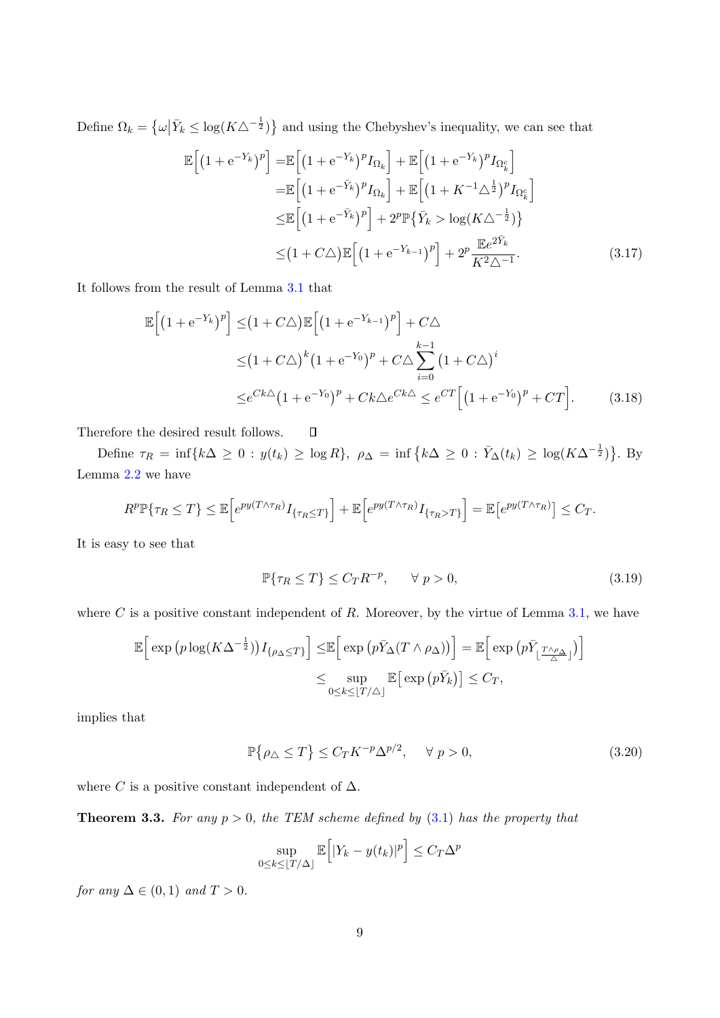Define  $\Omega_k = \left\{ \omega \middle| \bar{Y}_k \leq \log(K\Delta^{-\frac{1}{2}}) \right\}$  and using the Chebyshev's inequality, we can see that

$$
\mathbb{E}\left[\left(1+e^{-Y_k}\right)^p\right] = \mathbb{E}\left[\left(1+e^{-Y_k}\right)^p I_{\Omega_k}\right] + \mathbb{E}\left[\left(1+e^{-Y_k}\right)^p I_{\Omega_k^c}\right]
$$
\n
$$
= \mathbb{E}\left[\left(1+e^{-\bar{Y}_k}\right)^p I_{\Omega_k}\right] + \mathbb{E}\left[\left(1+K^{-1}\Delta^{\frac{1}{2}}\right)^p I_{\Omega_k^c}\right]
$$
\n
$$
\leq \mathbb{E}\left[\left(1+e^{-\bar{Y}_k}\right)^p\right] + 2^p \mathbb{P}\left\{\bar{Y}_k > \log\left(K\Delta^{-\frac{1}{2}}\right)\right\}
$$
\n
$$
\leq \left(1+C\Delta\right) \mathbb{E}\left[\left(1+e^{-Y_{k-1}}\right)^p\right] + 2^p \frac{\mathbb{E}e^{2\bar{Y}_k}}{K^2\Delta^{-1}}.
$$
\n(3.17)

It follows from the result of Lemma [3.1](#page-5-0) that

$$
\mathbb{E}\left[\left(1 + e^{-Y_k}\right)^p\right] \leq \left(1 + C\Delta\right)\mathbb{E}\left[\left(1 + e^{-Y_{k-1}}\right)^p\right] + C\Delta
$$
\n
$$
\leq \left(1 + C\Delta\right)^k \left(1 + e^{-Y_0}\right)^p + C\Delta \sum_{i=0}^{k-1} \left(1 + C\Delta\right)^i
$$
\n
$$
\leq e^{Ck\Delta} \left(1 + e^{-Y_0}\right)^p + Ck\Delta e^{Ck\Delta} \leq e^{CT} \left[\left(1 + e^{-Y_0}\right)^p + CT\right].
$$
\n(3.18)

Therefore the desired result follows.  $\Box$ 

Define  $\tau_R = \inf\{k\Delta \geq 0 : y(t_k) \geq \log R\}$ ,  $\rho_{\Delta} = \inf\{k\Delta \geq 0 : \overline{Y}_{\Delta}(t_k) \geq \log(K\Delta^{-\frac{1}{2}})\}$ . By Lemma [2.2](#page-3-2) we have

$$
R^p \mathbb{P}\{\tau_R \leq T\} \leq \mathbb{E}\Big[e^{py(T\wedge \tau_R)}I_{\{\tau_R \leq T\}}\Big] + \mathbb{E}\Big[e^{py(T\wedge \tau_R)}I_{\{\tau_R > T\}}\Big] = \mathbb{E}\big[e^{py(T\wedge \tau_R)}\big] \leq C_T.
$$

It is easy to see that

<span id="page-8-0"></span>
$$
\mathbb{P}\{\tau_R \le T\} \le C_T R^{-p}, \qquad \forall \ p > 0,
$$
\n(3.19)

where  $C$  is a positive constant independent of  $R$ . Moreover, by the virtue of Lemma [3.1,](#page-5-0) we have

$$
\mathbb{E}\Big[\exp\big(p\log(K\Delta^{-\frac{1}{2}})\big)I_{\{\rho_{\Delta}\leq T\}}\Big]\leq \mathbb{E}\Big[\exp\big(p\bar{Y}_{\Delta}(T\wedge\rho_{\Delta})\big)\Big]=\mathbb{E}\Big[\exp\big(p\bar{Y}_{\lfloor\frac{T\wedge\rho_{\Delta}}{\Delta}\rfloor}\big)\Big]
$$

$$
\leq \sup_{0\leq k\leq\lfloor T/\Delta\rfloor}\mathbb{E}\big[\exp\big(p\bar{Y}_{k}\big)\big]\leq C_{T},
$$

implies that

<span id="page-8-1"></span>
$$
\mathbb{P}\{\rho_{\triangle}\leq T\}\leq C_{T}K^{-p}\Delta^{p/2},\quad\forall\ p>0,
$$
\n(3.20)

<span id="page-8-2"></span>where C is a positive constant independent of  $\Delta$ .

**Theorem 3.3.** For any  $p > 0$ , the TEM scheme defined by  $(3.1)$  has the property that

$$
\sup_{0 \le k \le \lfloor T/\Delta \rfloor} \mathbb{E}\Big[|Y_k - y(t_k)|^p\Big] \le C_T \Delta^p
$$

for any  $\Delta \in (0,1)$  and  $T > 0$ .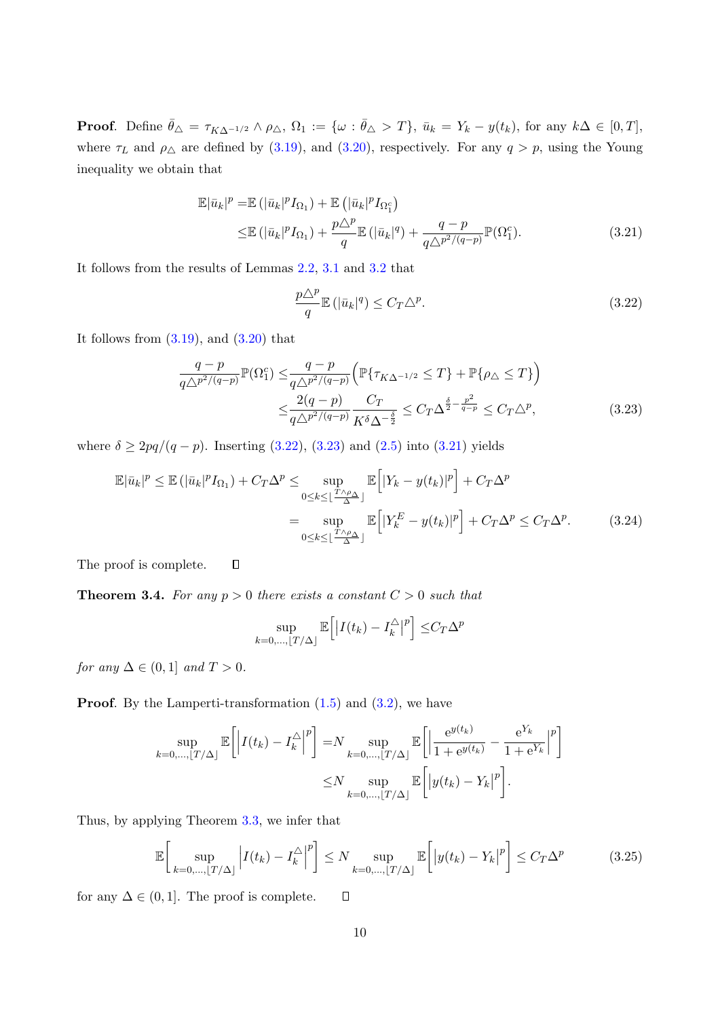**Proof.** Define  $\bar{\theta}_{\Delta} = \tau_{K\Delta^{-1/2}} \wedge \rho_{\Delta}, \Omega_1 := \{ \omega : \bar{\theta}_{\Delta} > T \}, \bar{u}_k = Y_k - y(t_k)$ , for any  $k\Delta \in [0, T]$ , where  $\tau_L$  and  $\rho_{\triangle}$  are defined by [\(3.19\)](#page-8-0), and [\(3.20\)](#page-8-1), respectively. For any  $q > p$ , using the Young inequality we obtain that

$$
\mathbb{E}|\bar{u}_k|^p = \mathbb{E}(|\bar{u}_k|^p I_{\Omega_1}) + \mathbb{E}(|\bar{u}_k|^p I_{\Omega_1^c})
$$
  

$$
\leq \mathbb{E}(|\bar{u}_k|^p I_{\Omega_1}) + \frac{p\Delta^p}{q} \mathbb{E}(|\bar{u}_k|^q) + \frac{q-p}{q\Delta^{p^2/(q-p)}} \mathbb{P}(\Omega_1^c).
$$
 (3.21)

It follows from the results of Lemmas [2.2,](#page-3-2) [3.1](#page-5-0) and [3.2](#page-5-1) that

<span id="page-9-2"></span><span id="page-9-1"></span><span id="page-9-0"></span>
$$
\frac{p\Delta^p}{q}\mathbb{E}\left(|\bar{u}_k|^q\right) \le C_T \Delta^p. \tag{3.22}
$$

It follows from  $(3.19)$ , and  $(3.20)$  that

$$
\frac{q-p}{q\Delta^{p^2/(q-p)}}\mathbb{P}(\Omega_1^c) \leq \frac{q-p}{q\Delta^{p^2/(q-p)}} \left(\mathbb{P}\{\tau_{K\Delta^{-1/2}} \leq T\} + \mathbb{P}\{\rho_{\Delta} \leq T\}\right)
$$
\n
$$
\leq \frac{2(q-p)}{q\Delta^{p^2/(q-p)}} \frac{C_T}{K^{\delta}\Delta^{-\frac{\delta}{2}}} \leq C_T\Delta^{\frac{\delta}{2} - \frac{p^2}{q-p}} \leq C_T\Delta^p,
$$
\n(3.23)

where  $\delta \ge 2pq/(q-p)$ . Inserting [\(3.22\)](#page-9-0), [\(3.23\)](#page-9-1) and [\(2.5\)](#page-4-5) into [\(3.21\)](#page-9-2) yields

$$
\mathbb{E}|\bar{u}_k|^p \leq \mathbb{E}(|\bar{u}_k|^p I_{\Omega_1}) + C_T \Delta^p \leq \sup_{0 \leq k \leq \lfloor \frac{T \wedge \rho_{\Delta}}{\Delta} \rfloor} \mathbb{E}\Big[|Y_k - y(t_k)|^p\Big] + C_T \Delta^p
$$

$$
= \sup_{0 \leq k \leq \lfloor \frac{T \wedge \rho_{\Delta}}{\Delta} \rfloor} \mathbb{E}\Big[|Y_k^E - y(t_k)|^p\Big] + C_T \Delta^p \leq C_T \Delta^p. \tag{3.24}
$$

The proof is complete.

**Theorem 3.4.** For any  $p > 0$  there exists a constant  $C > 0$  such that

 $\Box$ 

$$
\sup_{k=0,\ldots,\lfloor T/\Delta \rfloor} \mathbb{E}\Big[\big|I(t_k) - I_k^{\triangle}\big|^p\Big] \leq C_T \Delta^p
$$

for any  $\Delta \in (0,1]$  and  $T > 0$ .

**Proof.** By the Lamperti-transformation  $(1.5)$  and  $(3.2)$ , we have

$$
\sup_{k=0,\ldots,\lfloor T/\Delta \rfloor} \mathbb{E}\bigg[\Big|I(t_k) - I_k^{\triangle}\Big|^p\bigg] = N \sup_{k=0,\ldots,\lfloor T/\Delta \rfloor} \mathbb{E}\bigg[\Big|\frac{\mathrm{e}^{y(t_k)}}{1 + \mathrm{e}^{y(t_k)}} - \frac{\mathrm{e}^{Y_k}}{1 + \mathrm{e}^{Y_k}}\Big|^p\bigg]
$$

$$
\leq N \sup_{k=0,\ldots,\lfloor T/\Delta \rfloor} \mathbb{E}\bigg[\Big|y(t_k) - Y_k\Big|^p\bigg].
$$

Thus, by applying Theorem [3.3,](#page-8-2) we infer that

$$
\mathbb{E}\bigg[\sup_{k=0,\ldots,\lfloor T/\Delta\rfloor} \left| I(t_k) - I_k^{\triangle} \right|^p\bigg] \le N \sup_{k=0,\ldots,\lfloor T/\Delta\rfloor} \mathbb{E}\bigg[\left| y(t_k) - Y_k \right|^p\bigg] \le C_T \Delta^p \tag{3.25}
$$

for any  $\Delta \in (0,1]$ . The proof is complete.

 $\Box$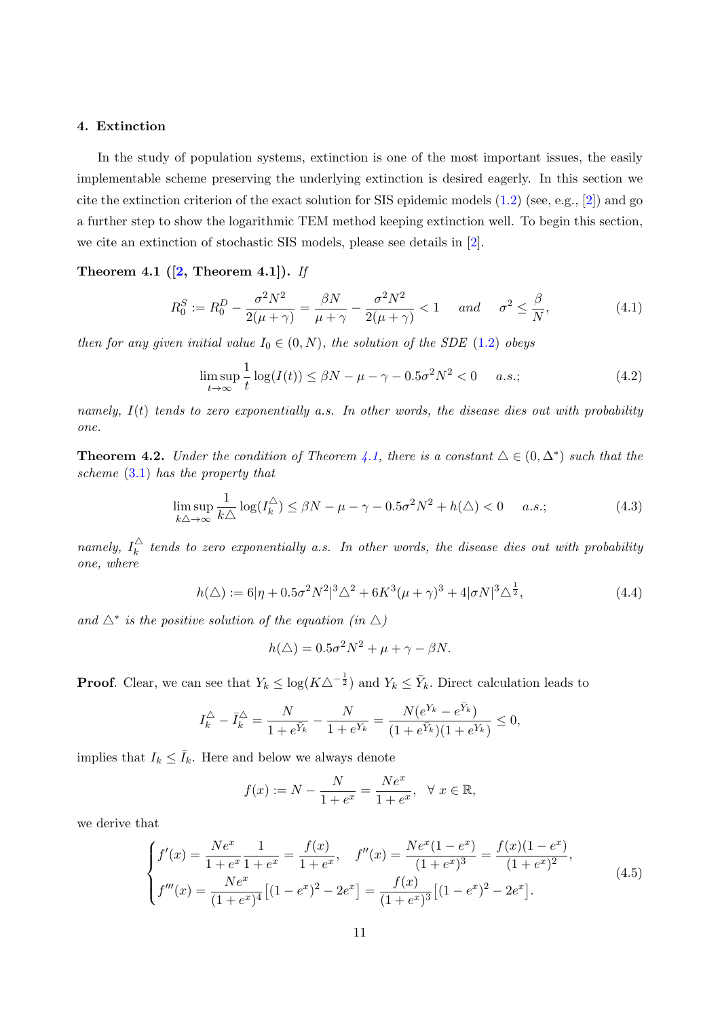# <span id="page-10-0"></span>4. Extinction

In the study of population systems, extinction is one of the most important issues, the easily implementable scheme preserving the underlying extinction is desired eagerly. In this section we cite the extinction criterion of the exact solution for SIS epidemic models  $(1.2)$  (see, e.g., [\[2\]](#page-18-0)) and go a further step to show the logarithmic TEM method keeping extinction well. To begin this section, we cite an extinction of stochastic SIS models, please see details in [\[2\]](#page-18-0).

# <span id="page-10-1"></span>Theorem 4.1  $([2,$  $([2,$  Theorem 4.1]). If

$$
R_0^S := R_0^D - \frac{\sigma^2 N^2}{2(\mu + \gamma)} = \frac{\beta N}{\mu + \gamma} - \frac{\sigma^2 N^2}{2(\mu + \gamma)} < 1 \quad \text{and} \quad \sigma^2 \le \frac{\beta}{N},\tag{4.1}
$$

then for any given initial value  $I_0 \in (0, N)$ , the solution of the SDE [\(1.2\)](#page-1-1) obeys

<span id="page-10-2"></span>
$$
\limsup_{t \to \infty} \frac{1}{t} \log(I(t)) \le \beta N - \mu - \gamma - 0.5\sigma^2 N^2 < 0 \quad a.s.;\tag{4.2}
$$

namely,  $I(t)$  tends to zero exponentially a.s. In other words, the disease dies out with probability one.

<span id="page-10-4"></span>**Theorem 4.2.** Under the condition of Theorem [4.1,](#page-10-1) there is a constant  $\Delta \in (0, \Delta^*)$  such that the scheme [\(3.1\)](#page-4-3) has the property that

$$
\limsup_{k \triangle \to \infty} \frac{1}{k \triangle} \log(I_k^{\triangle}) \le \beta N - \mu - \gamma - 0.5\sigma^2 N^2 + h(\triangle) < 0 \quad a.s.;\tag{4.3}
$$

namely,  $I_k^{\triangle}$  $\frac{dS}{dt}$  tends to zero exponentially a.s. In other words, the disease dies out with probability one, where

$$
h(\Delta) := 6|\eta + 0.5\sigma^2 N^2|^3 \Delta^2 + 6K^3(\mu + \gamma)^3 + 4|\sigma N|^3 \Delta^{\frac{1}{2}},\tag{4.4}
$$

and  $\Delta^*$  is the positive solution of the equation (in  $\Delta$ )

<span id="page-10-3"></span>
$$
h(\triangle) = 0.5\sigma^2 N^2 + \mu + \gamma - \beta N.
$$

**Proof.** Clear, we can see that  $Y_k \leq \log(K\Delta^{-\frac{1}{2}})$  and  $Y_k \leq \bar{Y}_k$ . Direct calculation leads to

$$
I_k^{\triangle} - \bar{I}_k^{\triangle} = \frac{N}{1 + e^{\bar{Y}_k}} - \frac{N}{1 + e^{Y_k}} = \frac{N(e^{Y_k} - e^{\bar{Y}_k})}{(1 + e^{\bar{Y}_k})(1 + e^{Y_k})} \le 0,
$$

implies that  $I_k \leq \bar{I}_k$ . Here and below we always denote

$$
f(x) := N - \frac{N}{1 + e^x} = \frac{Ne^x}{1 + e^x}, \ \ \forall \ x \in \mathbb{R},
$$

we derive that

$$
\begin{cases}\nf'(x) = \frac{Ne^x}{1+e^x} \frac{1}{1+e^x} = \frac{f(x)}{1+e^x}, & f''(x) = \frac{Ne^x(1-e^x)}{(1+e^x)^3} = \frac{f(x)(1-e^x)}{(1+e^x)^2}, \\
f'''(x) = \frac{Ne^x}{(1+e^x)^4} \left[ (1-e^x)^2 - 2e^x \right] = \frac{f(x)}{(1+e^x)^3} \left[ (1-e^x)^2 - 2e^x \right].\n\end{cases} (4.5)
$$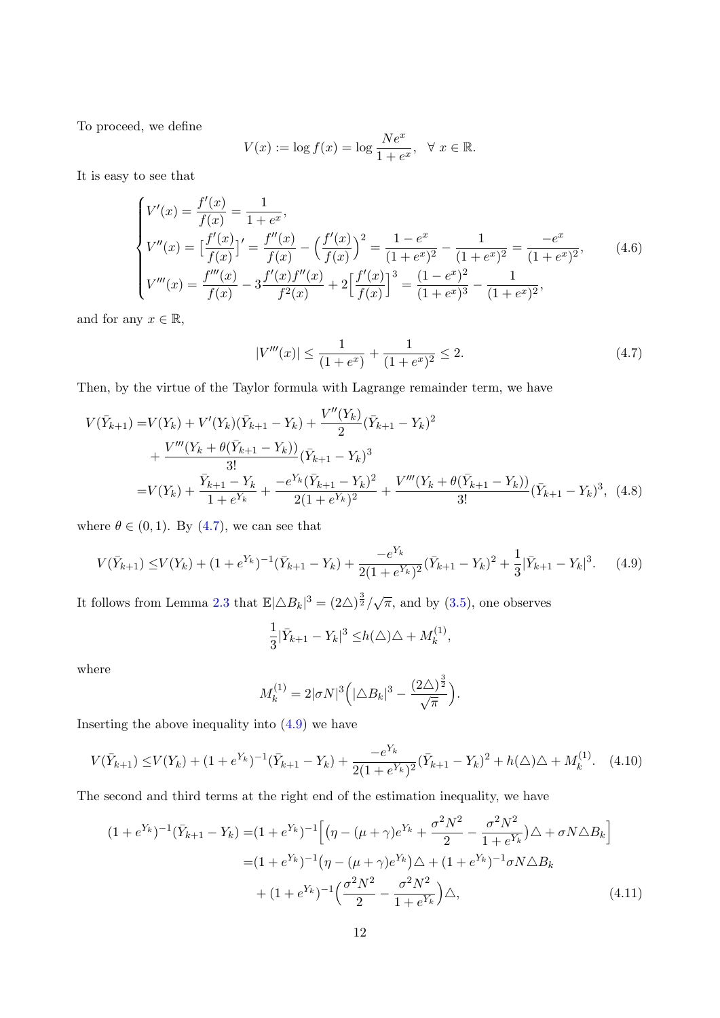To proceed, we define

$$
V(x) := \log f(x) = \log \frac{Ne^x}{1 + e^x}, \quad \forall \ x \in \mathbb{R}.
$$

It is easy to see that

$$
\begin{cases}\nV'(x) = \frac{f'(x)}{f(x)} = \frac{1}{1 + e^x}, \\
V''(x) = \left[\frac{f'(x)}{f(x)}\right]' = \frac{f''(x)}{f(x)} - \left(\frac{f'(x)}{f(x)}\right)^2 = \frac{1 - e^x}{(1 + e^x)^2} - \frac{1}{(1 + e^x)^2} = \frac{-e^x}{(1 + e^x)^2}, \\
V'''(x) = \frac{f'''(x)}{f(x)} - 3\frac{f'(x)f''(x)}{f^2(x)} + 2\left[\frac{f'(x)}{f(x)}\right]^3 = \frac{(1 - e^x)^2}{(1 + e^x)^3} - \frac{1}{(1 + e^x)^2},\n\end{cases} (4.6)
$$

and for any  $x \in \mathbb{R}$ ,

<span id="page-11-0"></span>
$$
|V'''(x)| \le \frac{1}{(1+e^x)} + \frac{1}{(1+e^x)^2} \le 2.
$$
\n(4.7)

Then, by the virtue of the Taylor formula with Lagrange remainder term, we have

$$
V(\bar{Y}_{k+1}) = V(Y_k) + V'(Y_k)(\bar{Y}_{k+1} - Y_k) + \frac{V''(Y_k)}{2}(\bar{Y}_{k+1} - Y_k)^2
$$
  
+ 
$$
\frac{V'''(Y_k + \theta(\bar{Y}_{k+1} - Y_k))}{3!}(\bar{Y}_{k+1} - Y_k)^3
$$
  
= 
$$
V(Y_k) + \frac{\bar{Y}_{k+1} - Y_k}{1 + e^{Y_k}} + \frac{-e^{Y_k}(\bar{Y}_{k+1} - Y_k)^2}{2(1 + e^{Y_k})^2} + \frac{V'''(Y_k + \theta(\bar{Y}_{k+1} - Y_k))}{3!}(\bar{Y}_{k+1} - Y_k)^3, (4.8)
$$

where  $\theta \in (0, 1)$ . By  $(4.7)$ , we can see that

$$
V(\bar{Y}_{k+1}) \le V(Y_k) + (1 + e^{Y_k})^{-1}(\bar{Y}_{k+1} - Y_k) + \frac{-e^{Y_k}}{2(1 + e^{Y_k})^2}(\bar{Y}_{k+1} - Y_k)^2 + \frac{1}{3}|\bar{Y}_{k+1} - Y_k|^3. \tag{4.9}
$$

It follows from Lemma [2.3](#page-4-4) that  $\mathbb{E}|\Delta B_k|^3 = (2\Delta)^{\frac{3}{2}}/\sqrt{\pi}$ , and by [\(3.5\)](#page-5-3), one observes

<span id="page-11-1"></span>
$$
\frac{1}{3}|\bar{Y}_{k+1}-Y_k|^3 \leq h(\triangle)\triangle + M_k^{(1)},
$$

where

<span id="page-11-3"></span><span id="page-11-2"></span>
$$
M_k^{(1)} = 2|\sigma N|^3 \Big(|\triangle B_k|^3 - \frac{(2\triangle)^{\frac{3}{2}}}{\sqrt{\pi}}\Big).
$$

Inserting the above inequality into  $(4.9)$  we have

$$
V(\bar{Y}_{k+1}) \leq V(Y_k) + (1 + e^{Y_k})^{-1}(\bar{Y}_{k+1} - Y_k) + \frac{-e^{Y_k}}{2(1 + e^{Y_k})^2}(\bar{Y}_{k+1} - Y_k)^2 + h(\triangle)\triangle + M_k^{(1)}.
$$
 (4.10)

The second and third terms at the right end of the estimation inequality, we have

$$
(1 + e^{Y_k})^{-1}(\bar{Y}_{k+1} - Y_k) = (1 + e^{Y_k})^{-1} \Big[ \big( \eta - (\mu + \gamma) e^{Y_k} + \frac{\sigma^2 N^2}{2} - \frac{\sigma^2 N^2}{1 + e^{Y_k}} \big) \triangle + \sigma N \triangle B_k \Big]
$$
  

$$
= (1 + e^{Y_k})^{-1} \big( \eta - (\mu + \gamma) e^{Y_k} \big) \triangle + (1 + e^{Y_k})^{-1} \sigma N \triangle B_k
$$
  

$$
+ (1 + e^{Y_k})^{-1} \Big( \frac{\sigma^2 N^2}{2} - \frac{\sigma^2 N^2}{1 + e^{Y_k}} \Big) \triangle, \tag{4.11}
$$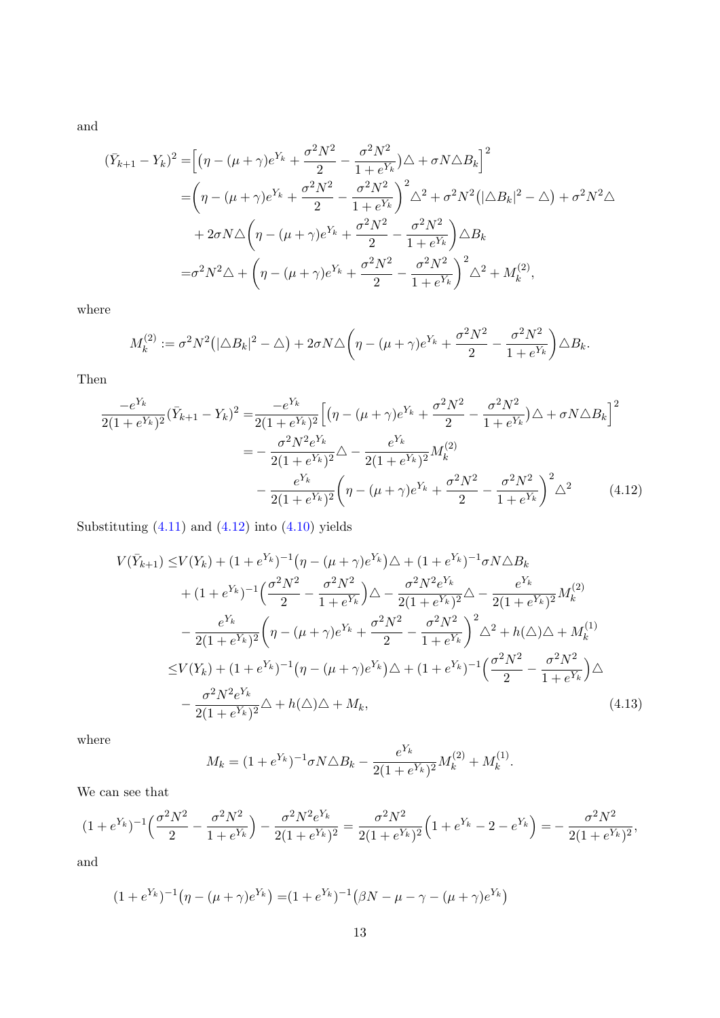and

$$
(\bar{Y}_{k+1} - Y_k)^2 = \left[ (\eta - (\mu + \gamma)e^{Y_k} + \frac{\sigma^2 N^2}{2} - \frac{\sigma^2 N^2}{1 + e^{Y_k}}) \triangle + \sigma N \triangle B_k \right]^2
$$
  
= 
$$
\left( \eta - (\mu + \gamma)e^{Y_k} + \frac{\sigma^2 N^2}{2} - \frac{\sigma^2 N^2}{1 + e^{Y_k}} \right)^2 \triangle^2 + \sigma^2 N^2 (|\triangle B_k|^2 - \triangle) + \sigma^2 N^2 \triangle
$$
  
+ 
$$
2\sigma N \triangle \left( \eta - (\mu + \gamma)e^{Y_k} + \frac{\sigma^2 N^2}{2} - \frac{\sigma^2 N^2}{1 + e^{Y_k}} \right) \triangle B_k
$$
  
= 
$$
\sigma^2 N^2 \triangle + \left( \eta - (\mu + \gamma)e^{Y_k} + \frac{\sigma^2 N^2}{2} - \frac{\sigma^2 N^2}{1 + e^{Y_k}} \right)^2 \triangle^2 + M_k^{(2)},
$$

where

$$
M_k^{(2)} := \sigma^2 N^2 \big( |\triangle B_k|^2 - \triangle \big) + 2\sigma N \triangle \bigg( \eta - (\mu + \gamma) e^{Y_k} + \frac{\sigma^2 N^2}{2} - \frac{\sigma^2 N^2}{1 + e^{Y_k}} \bigg) \triangle B_k.
$$

Then

$$
\frac{-e^{Y_k}}{2(1+e^{Y_k})^2}(\bar{Y}_{k+1}-Y_k)^2 = \frac{-e^{Y_k}}{2(1+e^{Y_k})^2} \Big[ \left(\eta - (\mu + \gamma)e^{Y_k} + \frac{\sigma^2 N^2}{2} - \frac{\sigma^2 N^2}{1+e^{Y_k}}\right)\triangle + \sigma N \triangle B_k \Big]^2
$$

$$
= -\frac{\sigma^2 N^2 e^{Y_k}}{2(1+e^{Y_k})^2} \triangle - \frac{e^{Y_k}}{2(1+e^{Y_k})^2} M_k^{(2)}
$$

$$
- \frac{e^{Y_k}}{2(1+e^{Y_k})^2} \left(\eta - (\mu + \gamma)e^{Y_k} + \frac{\sigma^2 N^2}{2} - \frac{\sigma^2 N^2}{1+e^{Y_k}}\right)^2 \triangle^2 \tag{4.12}
$$

Substituting  $(4.11)$  and  $(4.12)$  into  $(4.10)$  yields

$$
V(\bar{Y}_{k+1}) \leq V(Y_k) + (1 + e^{Y_k})^{-1} \left(\eta - (\mu + \gamma)e^{Y_k}\right) \triangle + (1 + e^{Y_k})^{-1} \sigma N \triangle B_k
$$
  
+ 
$$
(1 + e^{Y_k})^{-1} \left(\frac{\sigma^2 N^2}{2} - \frac{\sigma^2 N^2}{1 + e^{Y_k}}\right) \triangle - \frac{\sigma^2 N^2 e^{Y_k}}{2(1 + e^{Y_k})^2} \triangle - \frac{e^{Y_k}}{2(1 + e^{Y_k})^2} M_k^{(2)}
$$
  
- 
$$
\frac{e^{Y_k}}{2(1 + e^{Y_k})^2} \left(\eta - (\mu + \gamma)e^{Y_k} + \frac{\sigma^2 N^2}{2} - \frac{\sigma^2 N^2}{1 + e^{Y_k}}\right)^2 \triangle^2 + h(\triangle) \triangle + M_k^{(1)}
$$
  

$$
\leq V(Y_k) + (1 + e^{Y_k})^{-1} \left(\eta - (\mu + \gamma)e^{Y_k}\right) \triangle + (1 + e^{Y_k})^{-1} \left(\frac{\sigma^2 N^2}{2} - \frac{\sigma^2 N^2}{1 + e^{Y_k}}\right) \triangle
$$
  
- 
$$
\frac{\sigma^2 N^2 e^{Y_k}}{2(1 + e^{Y_k})^2} \triangle + h(\triangle) \triangle + M_k,
$$
 (4.13)

where

<span id="page-12-1"></span><span id="page-12-0"></span>
$$
M_k = (1 + e^{Y_k})^{-1} \sigma N \triangle B_k - \frac{e^{Y_k}}{2(1 + e^{Y_k})^2} M_k^{(2)} + M_k^{(1)}.
$$

We can see that

$$
(1+e^{Y_k})^{-1}\left(\frac{\sigma^2 N^2}{2}-\frac{\sigma^2 N^2}{1+e^{Y_k}}\right)-\frac{\sigma^2 N^2 e^{Y_k}}{2(1+e^{Y_k})^2}=\frac{\sigma^2 N^2}{2(1+e^{Y_k})^2}\left(1+e^{Y_k}-2-e^{Y_k}\right)=-\frac{\sigma^2 N^2}{2(1+e^{Y_k})^2},
$$

and

$$
(1 + e^{Y_k})^{-1}(\eta - (\mu + \gamma)e^{Y_k}) = (1 + e^{Y_k})^{-1}(\beta N - \mu - \gamma - (\mu + \gamma)e^{Y_k})
$$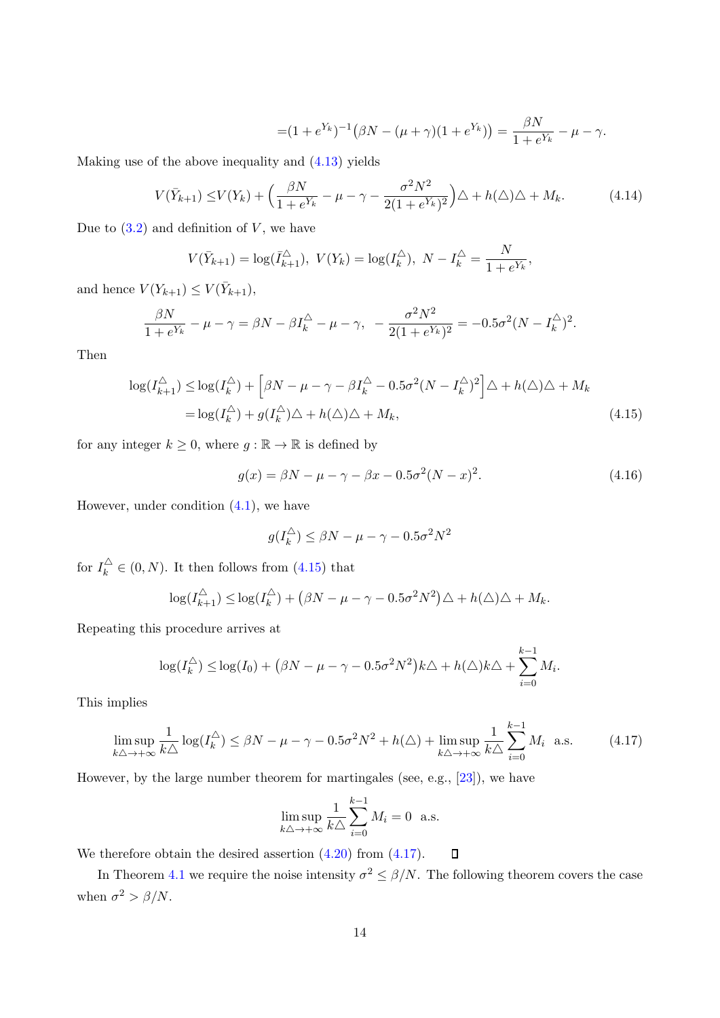$$
= (1 + e^{Y_k})^{-1} \left( \beta N - (\mu + \gamma)(1 + e^{Y_k}) \right) = \frac{\beta N}{1 + e^{Y_k}} - \mu - \gamma.
$$

Making use of the above inequality and [\(4.13\)](#page-12-1) yields

$$
V(\bar{Y}_{k+1}) \leq V(Y_k) + \left(\frac{\beta N}{1 + e^{Y_k}} - \mu - \gamma - \frac{\sigma^2 N^2}{2(1 + e^{Y_k})^2}\right)\Delta + h(\Delta)\Delta + M_k.
$$
 (4.14)

Due to  $(3.2)$  and definition of V, we have

$$
V(\bar{Y}_{k+1}) = \log(\bar{I}_{k+1}^{\triangle}), \ V(Y_k) = \log(I_k^{\triangle}), \ N - I_k^{\triangle} = \frac{N}{1 + e^{Y_k}},
$$

and hence  $V(Y_{k+1}) \leq V(\bar{Y}_{k+1}),$ 

$$
\frac{\beta N}{1 + e^{Y_k}} - \mu - \gamma = \beta N - \beta I_k^{\triangle} - \mu - \gamma, \quad -\frac{\sigma^2 N^2}{2(1 + e^{Y_k})^2} = -0.5\sigma^2 (N - I_k^{\triangle})^2.
$$

Then

$$
\log(I_{k+1}^{\triangle}) \le \log(I_k^{\triangle}) + \left[\beta N - \mu - \gamma - \beta I_k^{\triangle} - 0.5\sigma^2 (N - I_k^{\triangle})^2\right] \triangle + h(\triangle)\triangle + M_k
$$
  
=  $\log(I_k^{\triangle}) + g(I_k^{\triangle})\triangle + h(\triangle)\triangle + M_k,$  (4.15)

for any integer  $k \geq 0$ , where  $g : \mathbb{R} \to \mathbb{R}$  is defined by

$$
g(x) = \beta N - \mu - \gamma - \beta x - 0.5\sigma^2 (N - x)^2.
$$
 (4.16)

However, under condition  $(4.1)$ , we have

<span id="page-13-0"></span>
$$
g(I_k^{\triangle}) \le \beta N - \mu - \gamma - 0.5\sigma^2 N^2
$$

for  $I_k^{\triangle} \in (0, N)$ . It then follows from  $(4.15)$  that

$$
\log(I_{k+1}^{\triangle}) \leq \log(I_k^{\triangle}) + (\beta N - \mu - \gamma - 0.5\sigma^2 N^2)\triangle + h(\triangle)\triangle + M_k.
$$

Repeating this procedure arrives at

$$
\log(I_k^{\triangle}) \leq \log(I_0) + (\beta N - \mu - \gamma - 0.5\sigma^2 N^2)k\triangle + h(\triangle)k\triangle + \sum_{i=0}^{k-1} M_i.
$$

This implies

$$
\limsup_{k\Delta \to +\infty} \frac{1}{k\Delta} \log(I_k^{\Delta}) \leq \beta N - \mu - \gamma - 0.5\sigma^2 N^2 + h(\Delta) + \limsup_{k\Delta \to +\infty} \frac{1}{k\Delta} \sum_{i=0}^{k-1} M_i \quad \text{a.s.}
$$
 (4.17)

However, by the large number theorem for martingales (see, e.g., [\[23\]](#page-19-9)), we have

<span id="page-13-1"></span>
$$
\limsup_{k\triangle \to +\infty} \frac{1}{k\triangle} \sum_{i=0}^{k-1} M_i = 0 \text{ a.s.}
$$

We therefore obtain the desired assertion  $(4.20)$  from  $(4.17)$ .  $\Box$ 

<span id="page-13-2"></span>In Theorem [4.1](#page-10-1) we require the noise intensity  $\sigma^2 \le \beta/N$ . The following theorem covers the case when  $\sigma^2 > \beta/N$ .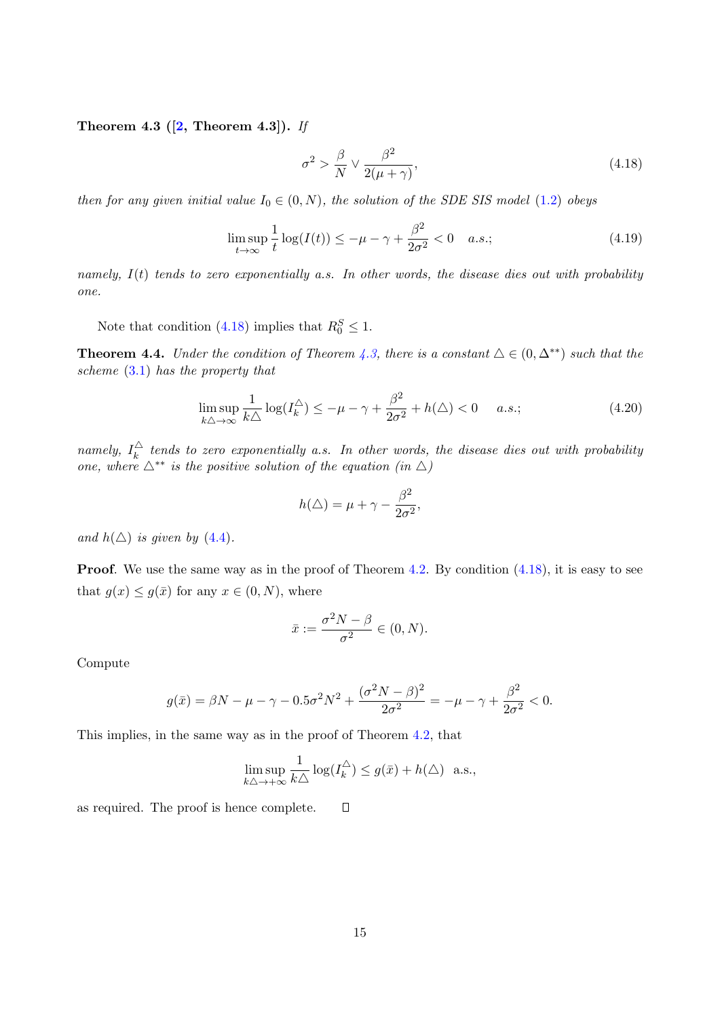Theorem 4.3 ( $[2,$  Theorem 4.3]). If

<span id="page-14-1"></span>
$$
\sigma^2 > \frac{\beta}{N} \vee \frac{\beta^2}{2(\mu + \gamma)},\tag{4.18}
$$

then for any given initial value  $I_0 \in (0, N)$ , the solution of the SDE SIS model [\(1.2\)](#page-1-1) obeys

$$
\limsup_{t \to \infty} \frac{1}{t} \log(I(t)) \le -\mu - \gamma + \frac{\beta^2}{2\sigma^2} < 0 \quad a.s.;
$$
\n(4.19)

namely,  $I(t)$  tends to zero exponentially a.s. In other words, the disease dies out with probability one.

Note that condition [\(4.18\)](#page-14-1) implies that  $R_0^S \leq 1$ .

**Theorem 4.4.** Under the condition of Theorem [4.3,](#page-13-2) there is a constant  $\Delta \in (0, \Delta^{**})$  such that the scheme [\(3.1\)](#page-4-3) has the property that

$$
\limsup_{k \triangle \to \infty} \frac{1}{k \triangle} \log(I_k^{\triangle}) \le -\mu - \gamma + \frac{\beta^2}{2\sigma^2} + h(\triangle) < 0 \quad a.s.; \tag{4.20}
$$

namely,  $I_k^{\triangle}$  $\frac{dS}{dt}$  tends to zero exponentially a.s. In other words, the disease dies out with probability one, where  $\Delta^{**}$  is the positive solution of the equation (in  $\Delta$ )

<span id="page-14-0"></span>
$$
h(\triangle) = \mu + \gamma - \frac{\beta^2}{2\sigma^2},
$$

and  $h(\triangle)$  is given by [\(4.4\)](#page-10-3).

**Proof.** We use the same way as in the proof of Theorem [4.2.](#page-10-4) By condition  $(4.18)$ , it is easy to see that  $g(x) \leq g(\bar{x})$  for any  $x \in (0, N)$ , where

$$
\bar{x} := \frac{\sigma^2 N - \beta}{\sigma^2} \in (0, N).
$$

Compute

$$
g(\bar{x}) = \beta N - \mu - \gamma - 0.5\sigma^2 N^2 + \frac{(\sigma^2 N - \beta)^2}{2\sigma^2} = -\mu - \gamma + \frac{\beta^2}{2\sigma^2} < 0.
$$

This implies, in the same way as in the proof of Theorem [4.2,](#page-10-4) that

$$
\limsup_{k\triangle \to +\infty} \frac{1}{k\triangle} \log(I_k^{\triangle}) \le g(\bar{x}) + h(\triangle) \text{ a.s.},
$$

as required. The proof is hence complete.  $\Box$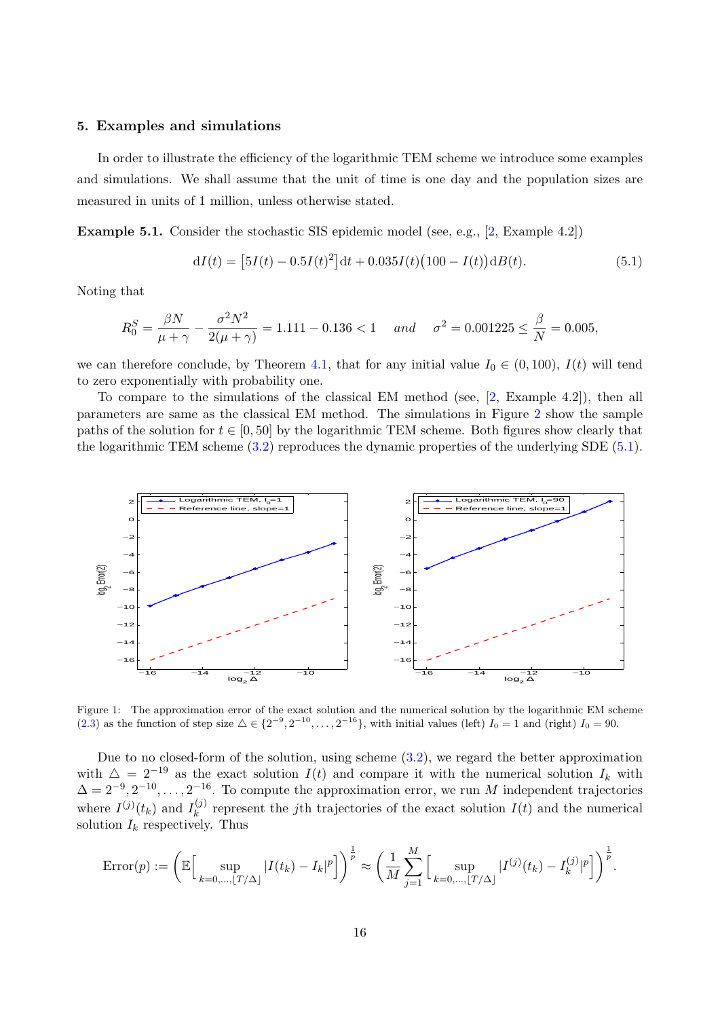#### <span id="page-15-0"></span>5. Examples and simulations

In order to illustrate the efficiency of the logarithmic TEM scheme we introduce some examples and simulations. We shall assume that the unit of time is one day and the population sizes are measured in units of 1 million, unless otherwise stated.

<span id="page-15-3"></span>Example 5.1. Consider the stochastic SIS epidemic model (see, e.g., [\[2,](#page-18-0) Example 4.2])

<span id="page-15-1"></span>
$$
dI(t) = [5I(t) - 0.5I(t)^{2}]dt + 0.035I(t)(100 - I(t))dB(t).
$$
\n(5.1)

Noting that

$$
R_0^S = \frac{\beta N}{\mu + \gamma} - \frac{\sigma^2 N^2}{2(\mu + \gamma)} = 1.111 - 0.136 < 1 \quad and \quad \sigma^2 = 0.001225 \le \frac{\beta}{N} = 0.005,
$$

we can therefore conclude, by Theorem [4.1,](#page-10-2) that for any initial value  $I_0 \in (0, 100)$ ,  $I(t)$  will tend to zero exponentially with probability one.

To compare to the simulations of the classical EM method (see, [\[2,](#page-18-0) Example 4.2]), then all parameters are same as the classical EM method. The simulations in Figure [2](#page-16-0) show the sample paths of the solution for  $t \in [0, 50]$  by the logarithmic TEM scheme. Both figures show clearly that the logarithmic TEM scheme  $(3.2)$  reproduces the dynamic properties of the underlying SDE  $(5.1)$ .



<span id="page-15-2"></span>Figure 1: The approximation error of the exact solution and the numerical solution by the logarithmic EM scheme [\(2.3\)](#page-4-6) as the function of step size  $\Delta \in \{2^{-9}, 2^{-10}, \ldots, 2^{-16}\}$ , with initial values (left)  $I_0 = 1$  and (right)  $I_0 = 90$ .

Due to no closed-form of the solution, using scheme [\(3.2\)](#page-5-2), we regard the better approximation with  $\Delta = 2^{-19}$  as the exact solution  $I(t)$  and compare it with the numerical solution  $I_k$  with  $\Delta = 2^{-9}, 2^{-10}, \ldots, 2^{-16}$ . To compute the approximation error, we run M independent trajectories where  $I^{(j)}(t_k)$  and  $I_k^{(j)}$ <sup>(*j*)</sup> represent the *j*th trajectories of the exact solution  $I(t)$  and the numerical solution  $I_k$  respectively. Thus

$$
\text{Error}(p) := \left(\mathbb{E}\Big[\sup_{k=0,\dots,\lfloor T/\Delta \rfloor} |I(t_k) - I_k|^p\Big]\right)^{\frac{1}{p}} \approx \left(\frac{1}{M} \sum_{j=1}^M \Big[\sup_{k=0,\dots,\lfloor T/\Delta \rfloor} |I^{(j)}(t_k) - I_k^{(j)}|^p\Big]\right)^{\frac{1}{p}}.
$$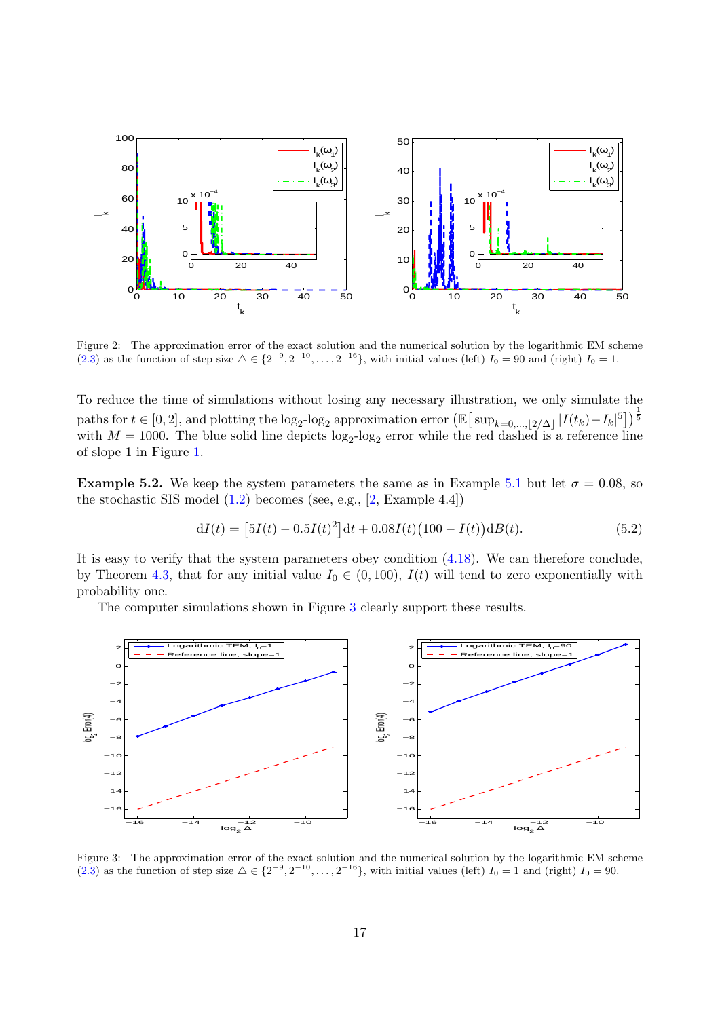

<span id="page-16-0"></span>Figure 2: The approximation error of the exact solution and the numerical solution by the logarithmic EM scheme [\(2.3\)](#page-4-6) as the function of step size  $\Delta \in \{2^{-9}, 2^{-10}, \ldots, 2^{-16}\}$ , with initial values (left)  $I_0 = 90$  and (right)  $I_0 = 1$ .

To reduce the time of simulations without losing any necessary illustration, we only simulate the paths for  $t \in [0, 2]$ , and plotting the  $\log_2$ - $\log_2$  approximation error  $\left(\mathbb{E}\left[\left.\sup_{k=0,...,|2/\Delta|}|I(t_k)-I_k|^5\right]\right)\right]^{\frac{1}{5}}$ with  $M = 1000$ . The blue solid line depicts  $\log_2$ - $\log_2$  error while the red dashed is a reference line of slope 1 in Figure [1.](#page-15-2)

**Example 5.2.** We keep the system parameters the same as in Example [5.1](#page-15-3) but let  $\sigma = 0.08$ , so the stochastic SIS model  $(1.2)$  becomes (see, e.g.,  $[2,$  Example 4.4])

$$
dI(t) = [5I(t) - 0.5I(t)^{2}]dt + 0.08I(t)(100 - I(t))dB(t).
$$
\n(5.2)

It is easy to verify that the system parameters obey condition [\(4.18\)](#page-14-1). We can therefore conclude, by Theorem [4.3,](#page-13-2) that for any initial value  $I_0 \in (0, 100)$ ,  $I(t)$  will tend to zero exponentially with probability one.

The computer simulations shown in Figure [3](#page-16-1) clearly support these results.



<span id="page-16-1"></span>Figure 3: The approximation error of the exact solution and the numerical solution by the logarithmic EM scheme [\(2.3\)](#page-4-6) as the function of step size  $\Delta \in \{2^{-9}, 2^{-10}, \ldots, 2^{-16}\}$ , with initial values (left)  $I_0 = 1$  and (right)  $I_0 = 90$ .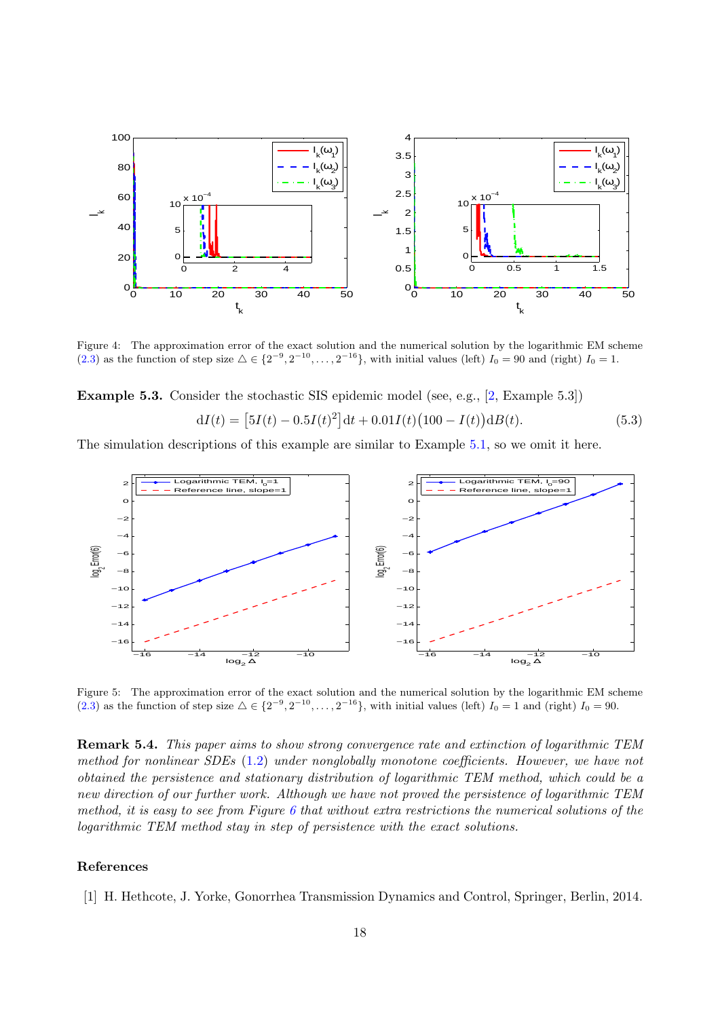

Figure 4: The approximation error of the exact solution and the numerical solution by the logarithmic EM scheme [\(2.3\)](#page-4-6) as the function of step size  $\Delta \in \{2^{-9}, 2^{-10}, \ldots, 2^{-16}\}$ , with initial values (left)  $I_0 = 90$  and (right)  $I_0 = 1$ .

Example 5.3. Consider the stochastic SIS epidemic model (see, e.g., [\[2,](#page-18-0) Example 5.3])

$$
dI(t) = [5I(t) - 0.5I(t)^{2}]dt + 0.01I(t)(100 - I(t))dB(t).
$$
\n(5.3)

The simulation descriptions of this example are similar to Example [5.1,](#page-15-3) so we omit it here.



Figure 5: The approximation error of the exact solution and the numerical solution by the logarithmic EM scheme [\(2.3\)](#page-4-6) as the function of step size  $\Delta \in \{2^{-9}, 2^{-10}, \ldots, 2^{-16}\}$ , with initial values (left)  $I_0 = 1$  and (right)  $I_0 = 90$ .

Remark 5.4. This paper aims to show strong convergence rate and extinction of logarithmic TEM method for nonlinear SDEs [\(1.2\)](#page-1-1) under nonglobally monotone coefficients. However, we have not obtained the persistence and stationary distribution of logarithmic TEM method, which could be a new direction of our further work. Although we have not proved the persistence of logarithmic TEM method, it is easy to see from Figure [6](#page-18-4) that without extra restrictions the numerical solutions of the logarithmic TEM method stay in step of persistence with the exact solutions.

#### References

<span id="page-17-0"></span>[1] H. Hethcote, J. Yorke, Gonorrhea Transmission Dynamics and Control, Springer, Berlin, 2014.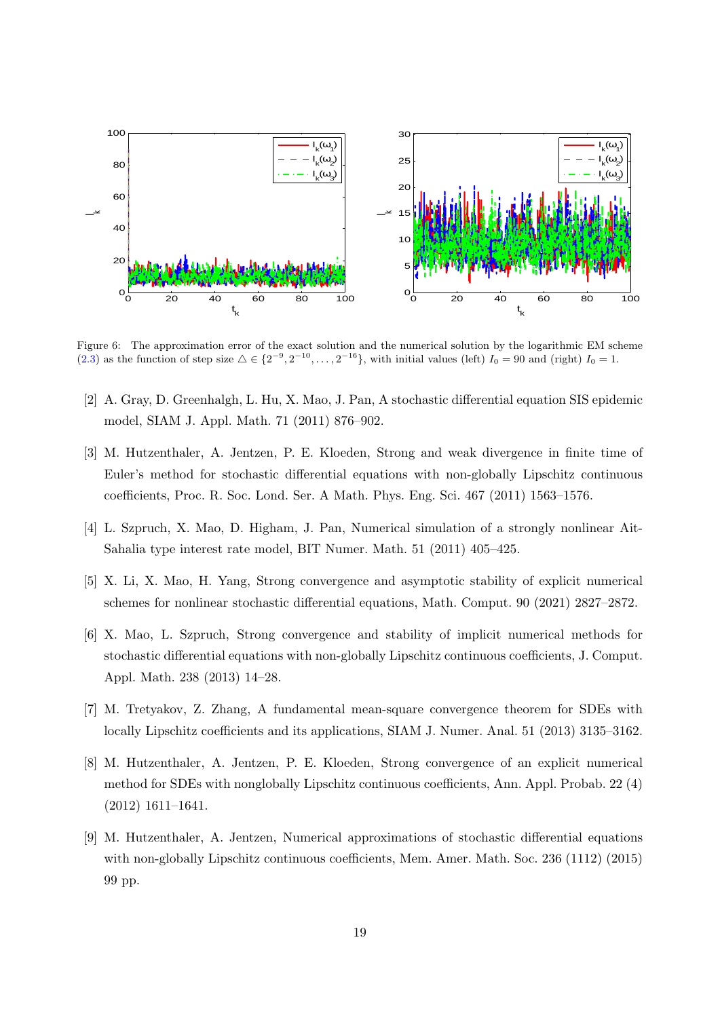

<span id="page-18-4"></span>Figure 6: The approximation error of the exact solution and the numerical solution by the logarithmic EM scheme [\(2.3\)](#page-4-6) as the function of step size  $\Delta \in \{2^{-9}, 2^{-10}, \ldots, 2^{-16}\}$ , with initial values (left)  $I_0 = 90$  and (right)  $I_0 = 1$ .

- <span id="page-18-0"></span>[2] A. Gray, D. Greenhalgh, L. Hu, X. Mao, J. Pan, A stochastic differential equation SIS epidemic model, SIAM J. Appl. Math. 71 (2011) 876–902.
- <span id="page-18-1"></span>[3] M. Hutzenthaler, A. Jentzen, P. E. Kloeden, Strong and weak divergence in finite time of Euler's method for stochastic differential equations with non-globally Lipschitz continuous coefficients, Proc. R. Soc. Lond. Ser. A Math. Phys. Eng. Sci. 467 (2011) 1563–1576.
- <span id="page-18-2"></span>[4] L. Szpruch, X. Mao, D. Higham, J. Pan, Numerical simulation of a strongly nonlinear Ait-Sahalia type interest rate model, BIT Numer. Math. 51 (2011) 405–425.
- <span id="page-18-3"></span>[5] X. Li, X. Mao, H. Yang, Strong convergence and asymptotic stability of explicit numerical schemes for nonlinear stochastic differential equations, Math. Comput. 90 (2021) 2827–2872.
- [6] X. Mao, L. Szpruch, Strong convergence and stability of implicit numerical methods for stochastic differential equations with non-globally Lipschitz continuous coefficients, J. Comput. Appl. Math. 238 (2013) 14–28.
- [7] M. Tretyakov, Z. Zhang, A fundamental mean-square convergence theorem for SDEs with locally Lipschitz coefficients and its applications, SIAM J. Numer. Anal. 51 (2013) 3135–3162.
- [8] M. Hutzenthaler, A. Jentzen, P. E. Kloeden, Strong convergence of an explicit numerical method for SDEs with nonglobally Lipschitz continuous coefficients, Ann. Appl. Probab. 22 (4) (2012) 1611–1641.
- [9] M. Hutzenthaler, A. Jentzen, Numerical approximations of stochastic differential equations with non-globally Lipschitz continuous coefficients, Mem. Amer. Math. Soc. 236 (1112) (2015) 99 pp.